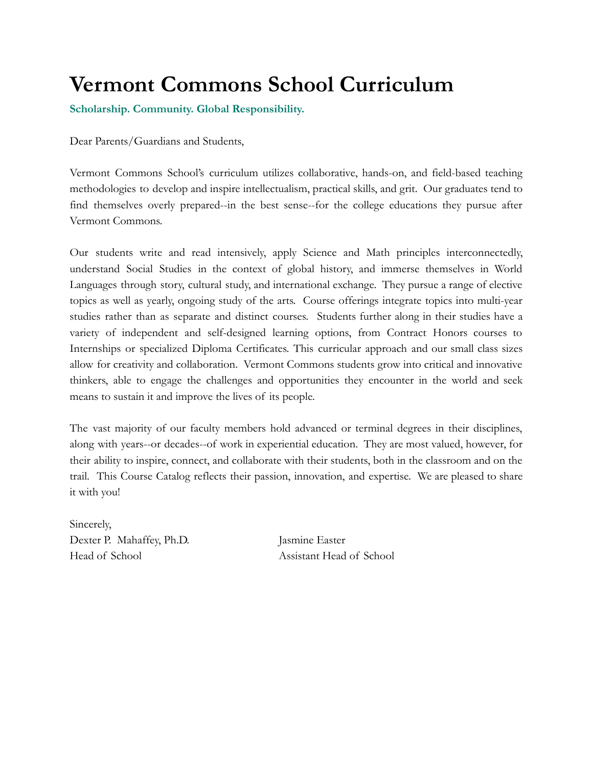# **Vermont Commons School Curriculum**

**Scholarship. Community. Global Responsibility.**

Dear Parents/Guardians and Students,

Vermont Commons School's curriculum utilizes collaborative, hands-on, and field-based teaching methodologies to develop and inspire intellectualism, practical skills, and grit. Our graduates tend to find themselves overly prepared--in the best sense--for the college educations they pursue after Vermont Commons.

Our students write and read intensively, apply Science and Math principles interconnectedly, understand Social Studies in the context of global history, and immerse themselves in World Languages through story, cultural study, and international exchange. They pursue a range of elective topics as well as yearly, ongoing study of the arts. Course offerings integrate topics into multi-year studies rather than as separate and distinct courses. Students further along in their studies have a variety of independent and self-designed learning options, from Contract Honors courses to Internships or specialized Diploma Certificates. This curricular approach and our small class sizes allow for creativity and collaboration. Vermont Commons students grow into critical and innovative thinkers, able to engage the challenges and opportunities they encounter in the world and seek means to sustain it and improve the lives of its people.

The vast majority of our faculty members hold advanced or terminal degrees in their disciplines, along with years--or decades--of work in experiential education. They are most valued, however, for their ability to inspire, connect, and collaborate with their students, both in the classroom and on the trail. This Course Catalog reflects their passion, innovation, and expertise. We are pleased to share it with you!

Sincerely, Dexter P. Mahaffey, Ph.D. Jasmine Easter Head of School Assistant Head of School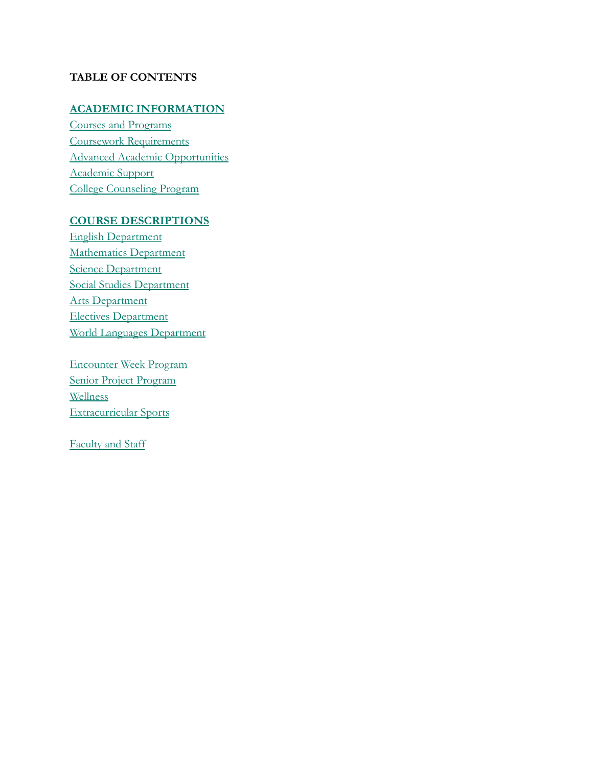# **TABLE OF CONTENTS**

# **[ACADEMIC INFORMATION](#page-2-0)**

[Courses and Programs](#page-2-1) [Coursework Requirements](#page-2-2) [Advanced Academic Opportunities](#page-2-3) [Academic Support](#page-3-0) [College Counseling Program](#page-3-1)

# **[COURSE DESCRIPTIONS](#page-4-0)**

[English Department](#page-4-1) [Mathematics Department](#page-7-0) [Science Department](#page-9-0) [Social Studies Department](#page-15-0) [Arts Department](#page-28-0) [Electives Department](#page-23-0) [World Languages Department](#page-28-0)

[Encounter Week Program](#page-32-0) [Senior Project Program](#page-34-0) [Wellness](#page-35-0) [Extracurricular Sports](#page-36-0)

[Faculty and Staff](#page-36-1)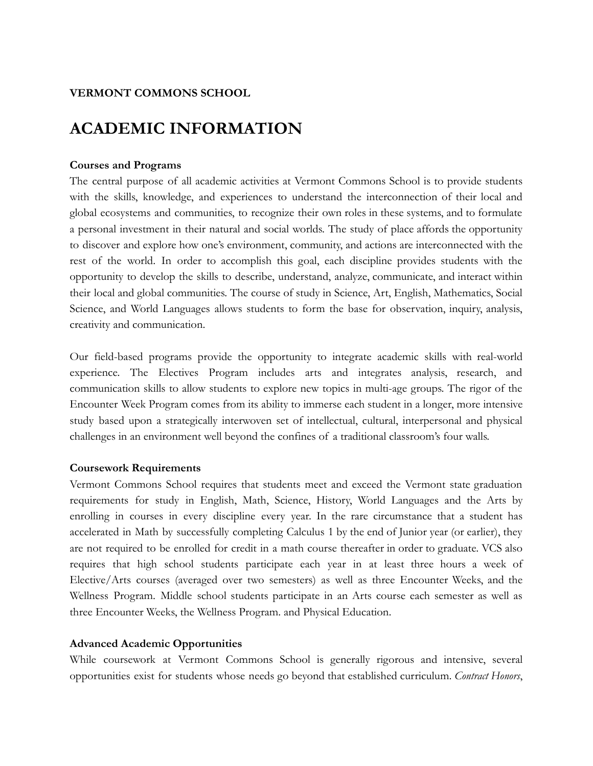# **VERMONT COMMONS SCHOOL**

# <span id="page-2-0"></span>**ACADEMIC INFORMATION**

# <span id="page-2-1"></span>**Courses and Programs**

The central purpose of all academic activities at Vermont Commons School is to provide students with the skills, knowledge, and experiences to understand the interconnection of their local and global ecosystems and communities, to recognize their own roles in these systems, and to formulate a personal investment in their natural and social worlds. The study of place affords the opportunity to discover and explore how one's environment, community, and actions are interconnected with the rest of the world. In order to accomplish this goal, each discipline provides students with the opportunity to develop the skills to describe, understand, analyze, communicate, and interact within their local and global communities. The course of study in Science, Art, English, Mathematics, Social Science, and World Languages allows students to form the base for observation, inquiry, analysis, creativity and communication.

Our field-based programs provide the opportunity to integrate academic skills with real-world experience. The Electives Program includes arts and integrates analysis, research, and communication skills to allow students to explore new topics in multi-age groups. The rigor of the Encounter Week Program comes from its ability to immerse each student in a longer, more intensive study based upon a strategically interwoven set of intellectual, cultural, interpersonal and physical challenges in an environment well beyond the confines of a traditional classroom's four walls.

# <span id="page-2-2"></span>**Coursework Requirements**

Vermont Commons School requires that students meet and exceed the Vermont state graduation requirements for study in English, Math, Science, History, World Languages and the Arts by enrolling in courses in every discipline every year. In the rare circumstance that a student has accelerated in Math by successfully completing Calculus 1 by the end of Junior year (or earlier), they are not required to be enrolled for credit in a math course thereafter in order to graduate. VCS also requires that high school students participate each year in at least three hours a week of Elective/Arts courses (averaged over two semesters) as well as three Encounter Weeks, and the Wellness Program. Middle school students participate in an Arts course each semester as well as three Encounter Weeks, the Wellness Program. and Physical Education.

# <span id="page-2-3"></span>**Advanced Academic Opportunities**

While coursework at Vermont Commons School is generally rigorous and intensive, several opportunities exist for students whose needs go beyond that established curriculum. *Contract Honors*,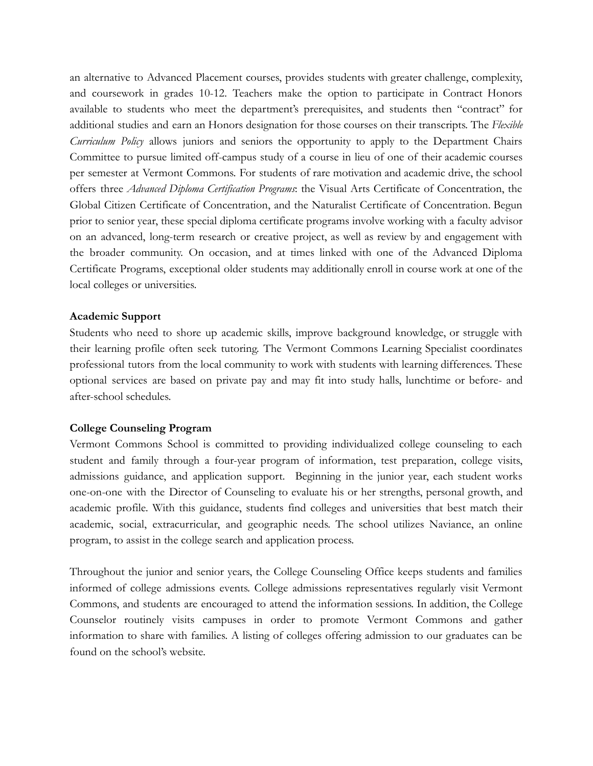an alternative to Advanced Placement courses, provides students with greater challenge, complexity, and coursework in grades 10-12. Teachers make the option to participate in Contract Honors available to students who meet the department's prerequisites, and students then "contract" for additional studies and earn an Honors designation for those courses on their transcripts. The *Flexible Curriculum Policy* allows juniors and seniors the opportunity to apply to the Department Chairs Committee to pursue limited off-campus study of a course in lieu of one of their academic courses per semester at Vermont Commons. For students of rare motivation and academic drive, the school offers three *Advanced Diploma Certification Programs*: the Visual Arts Certificate of Concentration, the Global Citizen Certificate of Concentration, and the Naturalist Certificate of Concentration. Begun prior to senior year, these special diploma certificate programs involve working with a faculty advisor on an advanced, long-term research or creative project, as well as review by and engagement with the broader community. On occasion, and at times linked with one of the Advanced Diploma Certificate Programs, exceptional older students may additionally enroll in course work at one of the local colleges or universities.

### <span id="page-3-0"></span>**Academic Support**

Students who need to shore up academic skills, improve background knowledge, or struggle with their learning profile often seek tutoring. The Vermont Commons Learning Specialist coordinates professional tutors from the local community to work with students with learning differences. These optional services are based on private pay and may fit into study halls, lunchtime or before- and after-school schedules.

## <span id="page-3-1"></span>**College Counseling Program**

Vermont Commons School is committed to providing individualized college counseling to each student and family through a four-year program of information, test preparation, college visits, admissions guidance, and application support. Beginning in the junior year, each student works one-on-one with the Director of Counseling to evaluate his or her strengths, personal growth, and academic profile. With this guidance, students find colleges and universities that best match their academic, social, extracurricular, and geographic needs. The school utilizes Naviance, an online program, to assist in the college search and application process.

Throughout the junior and senior years, the College Counseling Office keeps students and families informed of college admissions events. College admissions representatives regularly visit Vermont Commons, and students are encouraged to attend the information sessions. In addition, the College Counselor routinely visits campuses in order to promote Vermont Commons and gather information to share with families. A listing of colleges offering admission to our graduates can be found on the school's website.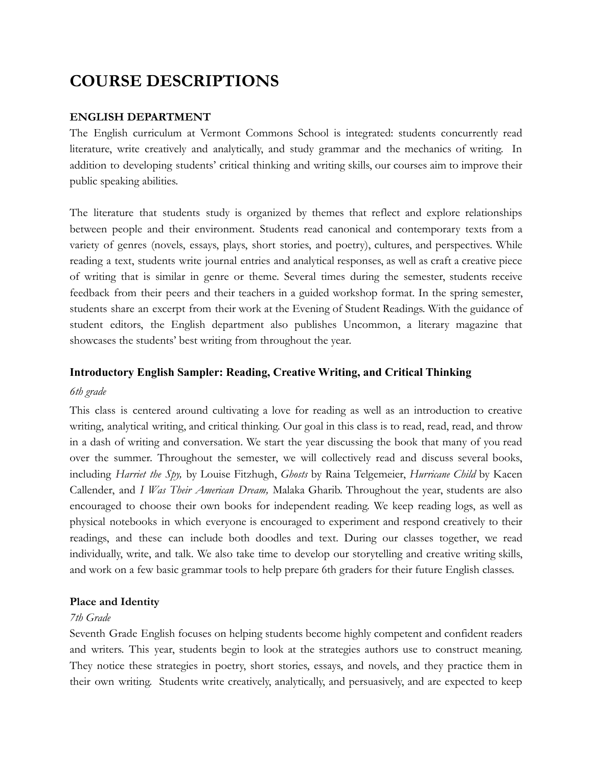# <span id="page-4-0"></span>**COURSE DESCRIPTIONS**

# <span id="page-4-1"></span>**ENGLISH DEPARTMENT**

The English curriculum at Vermont Commons School is integrated: students concurrently read literature, write creatively and analytically, and study grammar and the mechanics of writing. In addition to developing students' critical thinking and writing skills, our courses aim to improve their public speaking abilities.

The literature that students study is organized by themes that reflect and explore relationships between people and their environment. Students read canonical and contemporary texts from a variety of genres (novels, essays, plays, short stories, and poetry), cultures, and perspectives. While reading a text, students write journal entries and analytical responses, as well as craft a creative piece of writing that is similar in genre or theme. Several times during the semester, students receive feedback from their peers and their teachers in a guided workshop format. In the spring semester, students share an excerpt from their work at the Evening of Student Readings. With the guidance of student editors, the English department also publishes Uncommon, a literary magazine that showcases the students' best writing from throughout the year.

# **Introductory English Sampler: Reading, Creative Writing, and Critical Thinking**

# *6th grade*

This class is centered around cultivating a love for reading as well as an introduction to creative writing, analytical writing, and critical thinking. Our goal in this class is to read, read, read, and throw in a dash of writing and conversation. We start the year discussing the book that many of you read over the summer. Throughout the semester, we will collectively read and discuss several books, including *Harriet the Spy,* by Louise Fitzhugh, *Ghosts* by Raina Telgemeier, *Hurricane Child* by Kacen Callender, and *I Was Their American Dream,* Malaka Gharib. Throughout the year, students are also encouraged to choose their own books for independent reading. We keep reading logs, as well as physical notebooks in which everyone is encouraged to experiment and respond creatively to their readings, and these can include both doodles and text. During our classes together, we read individually, write, and talk. We also take time to develop our storytelling and creative writing skills, and work on a few basic grammar tools to help prepare 6th graders for their future English classes.

# **Place and Identity**

# *7th Grade*

Seventh Grade English focuses on helping students become highly competent and confident readers and writers. This year, students begin to look at the strategies authors use to construct meaning. They notice these strategies in poetry, short stories, essays, and novels, and they practice them in their own writing. Students write creatively, analytically, and persuasively, and are expected to keep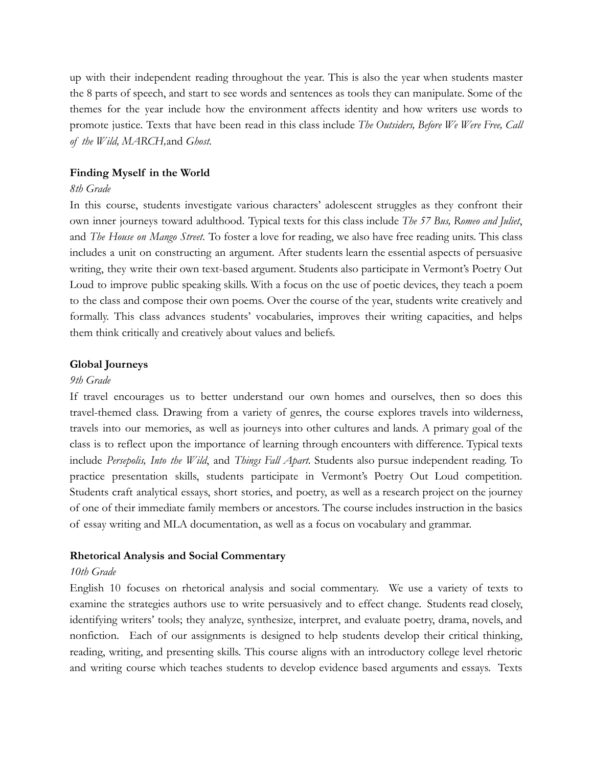up with their independent reading throughout the year. This is also the year when students master the 8 parts of speech, and start to see words and sentences as tools they can manipulate. Some of the themes for the year include how the environment affects identity and how writers use words to promote justice. Texts that have been read in this class include *The Outsiders, Before We Were Free, Call of the Wild, MARCH,*and *Ghost.*

# **Finding Myself in the World**

# *8th Grade*

In this course, students investigate various characters' adolescent struggles as they confront their own inner journeys toward adulthood. Typical texts for this class include *The 57 Bus, Romeo and Juliet*, and *The House on Mango Street*. To foster a love for reading, we also have free reading units. This class includes a unit on constructing an argument. After students learn the essential aspects of persuasive writing, they write their own text-based argument. Students also participate in Vermont's Poetry Out Loud to improve public speaking skills. With a focus on the use of poetic devices, they teach a poem to the class and compose their own poems. Over the course of the year, students write creatively and formally. This class advances students' vocabularies, improves their writing capacities, and helps them think critically and creatively about values and beliefs.

# **Global Journeys**

### *9th Grade*

If travel encourages us to better understand our own homes and ourselves, then so does this travel-themed class. Drawing from a variety of genres, the course explores travels into wilderness, travels into our memories, as well as journeys into other cultures and lands. A primary goal of the class is to reflect upon the importance of learning through encounters with difference. Typical texts include *Persepolis, Into the Wild*, and *Things Fall Apart.* Students also pursue independent reading. To practice presentation skills, students participate in Vermont's Poetry Out Loud competition. Students craft analytical essays, short stories, and poetry, as well as a research project on the journey of one of their immediate family members or ancestors. The course includes instruction in the basics of essay writing and MLA documentation, as well as a focus on vocabulary and grammar.

#### **Rhetorical Analysis and Social Commentary**

## *10th Grade*

English 10 focuses on rhetorical analysis and social commentary. We use a variety of texts to examine the strategies authors use to write persuasively and to effect change. Students read closely, identifying writers' tools; they analyze, synthesize, interpret, and evaluate poetry, drama, novels, and nonfiction. Each of our assignments is designed to help students develop their critical thinking, reading, writing, and presenting skills. This course aligns with an introductory college level rhetoric and writing course which teaches students to develop evidence based arguments and essays. Texts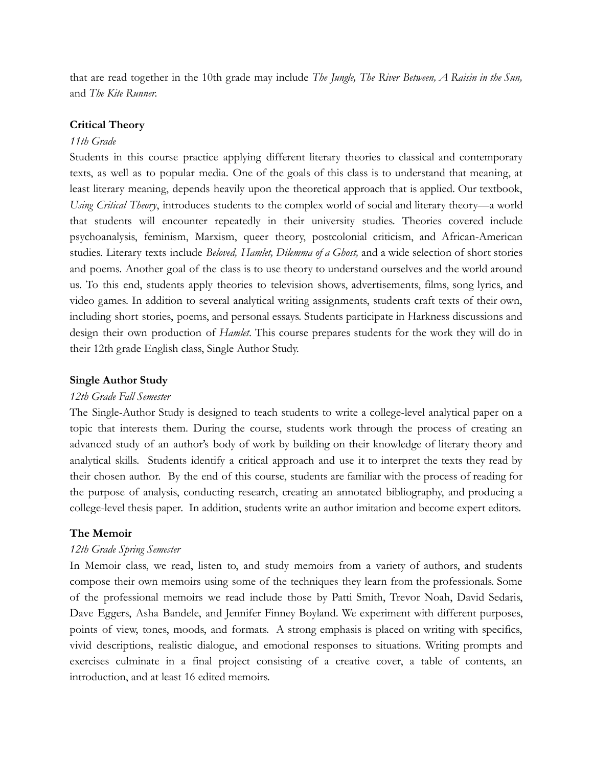that are read together in the 10th grade may include *The Jungle, The River Between, A Raisin in the Sun,* and *The Kite Runner.*

## **Critical Theory**

#### *11th Grade*

Students in this course practice applying different literary theories to classical and contemporary texts, as well as to popular media. One of the goals of this class is to understand that meaning, at least literary meaning, depends heavily upon the theoretical approach that is applied. Our textbook, *Using Critical Theory*, introduces students to the complex world of social and literary theory—a world that students will encounter repeatedly in their university studies. Theories covered include psychoanalysis, feminism, Marxism, queer theory, postcolonial criticism, and African-American studies. Literary texts include *Beloved, Hamlet, Dilemma of a Ghost,* and a wide selection of short stories and poems. Another goal of the class is to use theory to understand ourselves and the world around us. To this end, students apply theories to television shows, advertisements, films, song lyrics, and video games. In addition to several analytical writing assignments, students craft texts of their own, including short stories, poems, and personal essays. Students participate in Harkness discussions and design their own production of *Hamlet*. This course prepares students for the work they will do in their 12th grade English class, Single Author Study.

## **Single Author Study**

#### *12th Grade Fall Semester*

The Single-Author Study is designed to teach students to write a college-level analytical paper on a topic that interests them. During the course, students work through the process of creating an advanced study of an author's body of work by building on their knowledge of literary theory and analytical skills. Students identify a critical approach and use it to interpret the texts they read by their chosen author. By the end of this course, students are familiar with the process of reading for the purpose of analysis, conducting research, creating an annotated bibliography, and producing a college-level thesis paper. In addition, students write an author imitation and become expert editors.

#### **The Memoir**

#### *12th Grade Spring Semester*

In Memoir class, we read, listen to, and study memoirs from a variety of authors, and students compose their own memoirs using some of the techniques they learn from the professionals. Some of the professional memoirs we read include those by Patti Smith, Trevor Noah, David Sedaris, Dave Eggers, Asha Bandele, and Jennifer Finney Boyland. We experiment with different purposes, points of view, tones, moods, and formats. A strong emphasis is placed on writing with specifics, vivid descriptions, realistic dialogue, and emotional responses to situations*.* Writing prompts and exercises culminate in a final project consisting of a creative cover, a table of contents, an introduction, and at least 16 edited memoirs.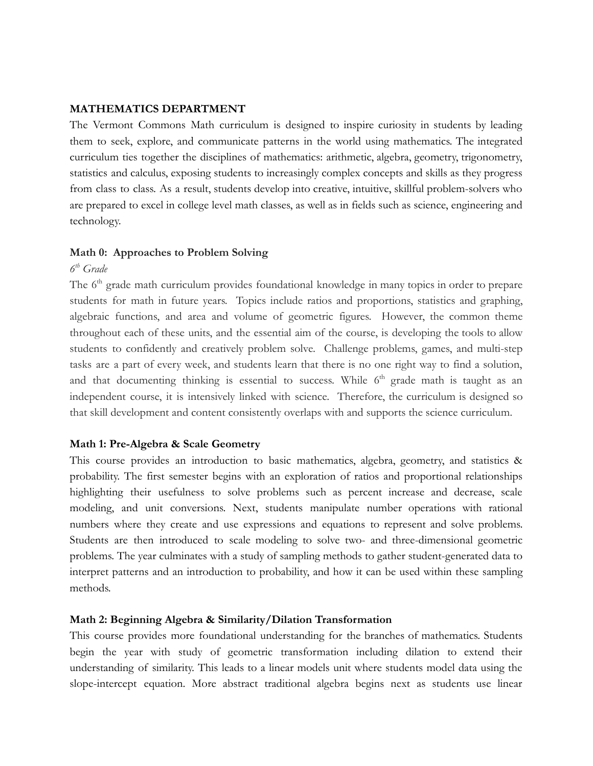# <span id="page-7-0"></span>**MATHEMATICS DEPARTMENT**

The Vermont Commons Math curriculum is designed to inspire curiosity in students by leading them to seek, explore, and communicate patterns in the world using mathematics. The integrated curriculum ties together the disciplines of mathematics: arithmetic, algebra, geometry, trigonometry, statistics and calculus, exposing students to increasingly complex concepts and skills as they progress from class to class. As a result, students develop into creative, intuitive, skillful problem-solvers who are prepared to excel in college level math classes, as well as in fields such as science, engineering and technology.

# **Math 0: Approaches to Problem Solving**

# *6 th Grade*

The 6<sup>th</sup> grade math curriculum provides foundational knowledge in many topics in order to prepare students for math in future years. Topics include ratios and proportions, statistics and graphing, algebraic functions, and area and volume of geometric figures. However, the common theme throughout each of these units, and the essential aim of the course, is developing the tools to allow students to confidently and creatively problem solve. Challenge problems, games, and multi-step tasks are a part of every week, and students learn that there is no one right way to find a solution, and that documenting thinking is essential to success. While  $6<sup>th</sup>$  grade math is taught as an independent course, it is intensively linked with science. Therefore, the curriculum is designed so that skill development and content consistently overlaps with and supports the science curriculum.

# **Math 1: Pre-Algebra & Scale Geometry**

This course provides an introduction to basic mathematics, algebra, geometry, and statistics & probability. The first semester begins with an exploration of ratios and proportional relationships highlighting their usefulness to solve problems such as percent increase and decrease, scale modeling, and unit conversions. Next, students manipulate number operations with rational numbers where they create and use expressions and equations to represent and solve problems. Students are then introduced to scale modeling to solve two- and three-dimensional geometric problems. The year culminates with a study of sampling methods to gather student-generated data to interpret patterns and an introduction to probability, and how it can be used within these sampling methods.

# **Math 2: Beginning Algebra & Similarity/Dilation Transformation**

This course provides more foundational understanding for the branches of mathematics. Students begin the year with study of geometric transformation including dilation to extend their understanding of similarity. This leads to a linear models unit where students model data using the slope-intercept equation. More abstract traditional algebra begins next as students use linear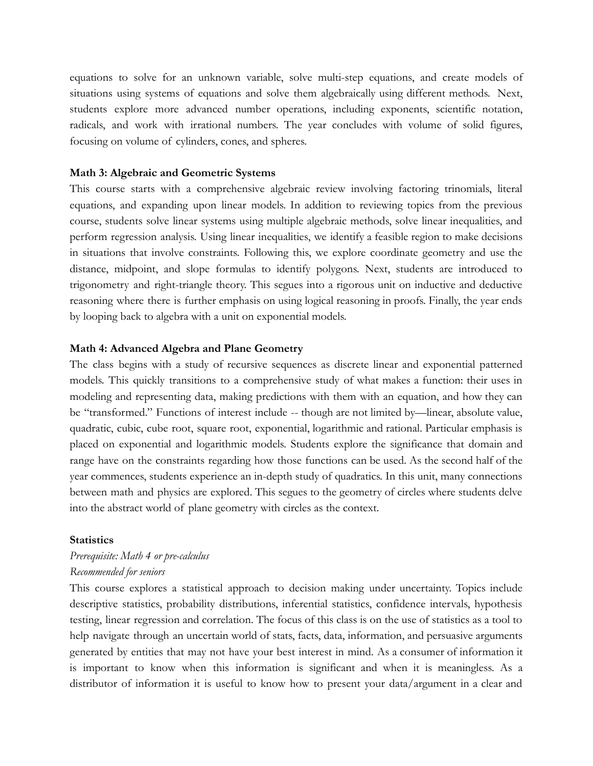equations to solve for an unknown variable, solve multi-step equations, and create models of situations using systems of equations and solve them algebraically using different methods. Next, students explore more advanced number operations, including exponents, scientific notation, radicals, and work with irrational numbers. The year concludes with volume of solid figures, focusing on volume of cylinders, cones, and spheres.

## **Math 3: Algebraic and Geometric Systems**

This course starts with a comprehensive algebraic review involving factoring trinomials, literal equations, and expanding upon linear models. In addition to reviewing topics from the previous course, students solve linear systems using multiple algebraic methods, solve linear inequalities, and perform regression analysis. Using linear inequalities, we identify a feasible region to make decisions in situations that involve constraints. Following this, we explore coordinate geometry and use the distance, midpoint, and slope formulas to identify polygons. Next, students are introduced to trigonometry and right-triangle theory. This segues into a rigorous unit on inductive and deductive reasoning where there is further emphasis on using logical reasoning in proofs. Finally, the year ends by looping back to algebra with a unit on exponential models.

#### **Math 4: Advanced Algebra and Plane Geometry**

The class begins with a study of recursive sequences as discrete linear and exponential patterned models. This quickly transitions to a comprehensive study of what makes a function: their uses in modeling and representing data, making predictions with them with an equation, and how they can be "transformed." Functions of interest include -- though are not limited by—linear, absolute value, quadratic, cubic, cube root, square root, exponential, logarithmic and rational. Particular emphasis is placed on exponential and logarithmic models. Students explore the significance that domain and range have on the constraints regarding how those functions can be used. As the second half of the year commences, students experience an in-depth study of quadratics. In this unit, many connections between math and physics are explored. This segues to the geometry of circles where students delve into the abstract world of plane geometry with circles as the context.

#### **Statistics**

# *Prerequisite: Math 4 or pre-calculus Recommended for seniors*

This course explores a statistical approach to decision making under uncertainty. Topics include descriptive statistics, probability distributions, inferential statistics, confidence intervals, hypothesis testing, linear regression and correlation. The focus of this class is on the use of statistics as a tool to help navigate through an uncertain world of stats, facts, data, information, and persuasive arguments generated by entities that may not have your best interest in mind. As a consumer of information it is important to know when this information is significant and when it is meaningless. As a distributor of information it is useful to know how to present your data/argument in a clear and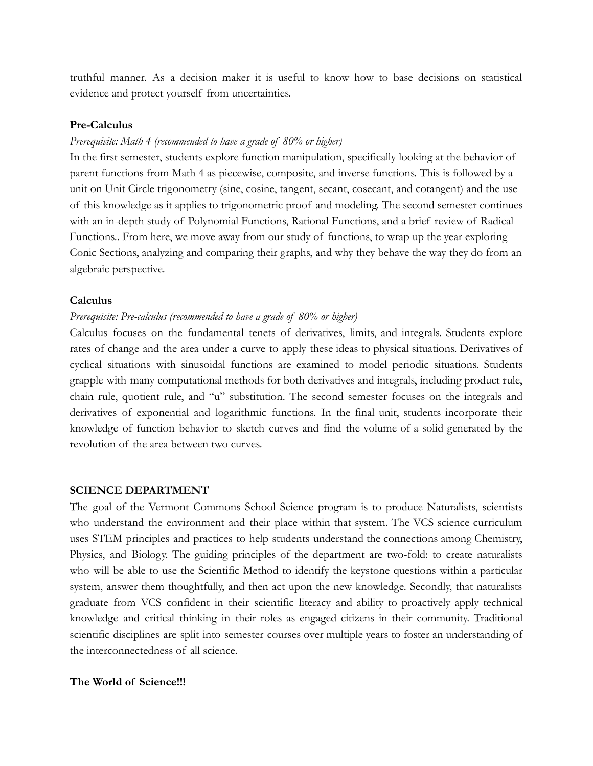truthful manner. As a decision maker it is useful to know how to base decisions on statistical evidence and protect yourself from uncertainties.

#### **Pre-Calculus**

## *Prerequisite: Math 4 (recommended to have a grade of 80% or higher)*

In the first semester, students explore function manipulation, specifically looking at the behavior of parent functions from Math 4 as piecewise, composite, and inverse functions. This is followed by a unit on Unit Circle trigonometry (sine, cosine, tangent, secant, cosecant, and cotangent) and the use of this knowledge as it applies to trigonometric proof and modeling. The second semester continues with an in-depth study of Polynomial Functions, Rational Functions, and a brief review of Radical Functions.. From here, we move away from our study of functions, to wrap up the year exploring Conic Sections, analyzing and comparing their graphs, and why they behave the way they do from an algebraic perspective.

#### **Calculus**

#### *Prerequisite: Pre-calculus (recommended to have a grade of 80% or higher)*

Calculus focuses on the fundamental tenets of derivatives, limits, and integrals. Students explore rates of change and the area under a curve to apply these ideas to physical situations. Derivatives of cyclical situations with sinusoidal functions are examined to model periodic situations. Students grapple with many computational methods for both derivatives and integrals, including product rule, chain rule, quotient rule, and "u" substitution. The second semester focuses on the integrals and derivatives of exponential and logarithmic functions. In the final unit, students incorporate their knowledge of function behavior to sketch curves and find the volume of a solid generated by the revolution of the area between two curves.

#### <span id="page-9-0"></span>**SCIENCE DEPARTMENT**

The goal of the Vermont Commons School Science program is to produce Naturalists, scientists who understand the environment and their place within that system. The VCS science curriculum uses STEM principles and practices to help students understand the connections among Chemistry, Physics, and Biology. The guiding principles of the department are two-fold: to create naturalists who will be able to use the Scientific Method to identify the keystone questions within a particular system, answer them thoughtfully, and then act upon the new knowledge. Secondly, that naturalists graduate from VCS confident in their scientific literacy and ability to proactively apply technical knowledge and critical thinking in their roles as engaged citizens in their community. Traditional scientific disciplines are split into semester courses over multiple years to foster an understanding of the interconnectedness of all science.

## **The World of Science!!!**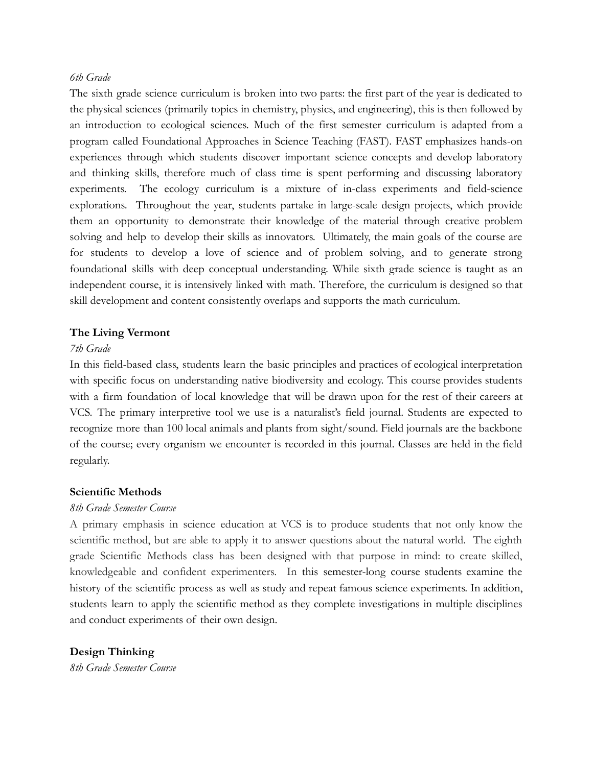# *6th Grade*

The sixth grade science curriculum is broken into two parts: the first part of the year is dedicated to the physical sciences (primarily topics in chemistry, physics, and engineering), this is then followed by an introduction to ecological sciences. Much of the first semester curriculum is adapted from a program called Foundational Approaches in Science Teaching (FAST). FAST emphasizes hands-on experiences through which students discover important science concepts and develop laboratory and thinking skills, therefore much of class time is spent performing and discussing laboratory experiments. The ecology curriculum is a mixture of in-class experiments and field-science explorations. Throughout the year, students partake in large-scale design projects, which provide them an opportunity to demonstrate their knowledge of the material through creative problem solving and help to develop their skills as innovators. Ultimately, the main goals of the course are for students to develop a love of science and of problem solving, and to generate strong foundational skills with deep conceptual understanding. While sixth grade science is taught as an independent course, it is intensively linked with math. Therefore, the curriculum is designed so that skill development and content consistently overlaps and supports the math curriculum.

# **The Living Vermont**

# *7th Grade*

In this field-based class, students learn the basic principles and practices of ecological interpretation with specific focus on understanding native biodiversity and ecology. This course provides students with a firm foundation of local knowledge that will be drawn upon for the rest of their careers at VCS. The primary interpretive tool we use is a naturalist's field journal. Students are expected to recognize more than 100 local animals and plants from sight/sound. Field journals are the backbone of the course; every organism we encounter is recorded in this journal. Classes are held in the field regularly.

# **Scientific Methods**

# *8th Grade Semester Course*

A primary emphasis in science education at VCS is to produce students that not only know the scientific method, but are able to apply it to answer questions about the natural world. The eighth grade Scientific Methods class has been designed with that purpose in mind: to create skilled, knowledgeable and confident experimenters. In this semester-long course students examine the history of the scientific process as well as study and repeat famous science experiments. In addition, students learn to apply the scientific method as they complete investigations in multiple disciplines and conduct experiments of their own design.

**Design Thinking**

*8th Grade Semester Course*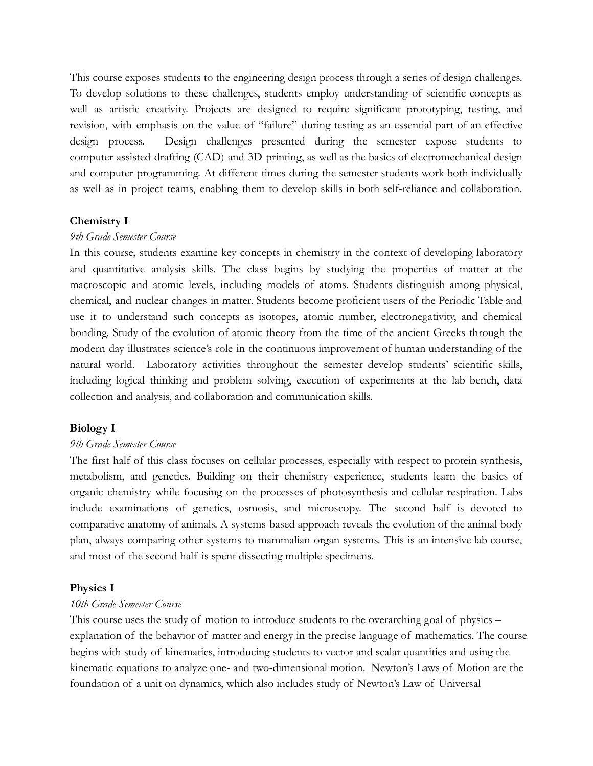This course exposes students to the engineering design process through a series of design challenges. To develop solutions to these challenges, students employ understanding of scientific concepts as well as artistic creativity. Projects are designed to require significant prototyping, testing, and revision, with emphasis on the value of "failure" during testing as an essential part of an effective design process. Design challenges presented during the semester expose students to computer-assisted drafting (CAD) and 3D printing, as well as the basics of electromechanical design and computer programming. At different times during the semester students work both individually as well as in project teams, enabling them to develop skills in both self-reliance and collaboration.

### **Chemistry I**

#### *9th Grade Semester Course*

In this course, students examine key concepts in chemistry in the context of developing laboratory and quantitative analysis skills. The class begins by studying the properties of matter at the macroscopic and atomic levels, including models of atoms. Students distinguish among physical, chemical, and nuclear changes in matter. Students become proficient users of the Periodic Table and use it to understand such concepts as isotopes, atomic number, electronegativity, and chemical bonding. Study of the evolution of atomic theory from the time of the ancient Greeks through the modern day illustrates science's role in the continuous improvement of human understanding of the natural world. Laboratory activities throughout the semester develop students' scientific skills, including logical thinking and problem solving, execution of experiments at the lab bench, data collection and analysis, and collaboration and communication skills.

#### **Biology I**

#### *9th Grade Semester Course*

The first half of this class focuses on cellular processes, especially with respect to protein synthesis, metabolism, and genetics. Building on their chemistry experience, students learn the basics of organic chemistry while focusing on the processes of photosynthesis and cellular respiration. Labs include examinations of genetics, osmosis, and microscopy. The second half is devoted to comparative anatomy of animals. A systems-based approach reveals the evolution of the animal body plan, always comparing other systems to mammalian organ systems. This is an intensive lab course, and most of the second half is spent dissecting multiple specimens.

#### **Physics I**

#### *10th Grade Semester Course*

This course uses the study of motion to introduce students to the overarching goal of physics – explanation of the behavior of matter and energy in the precise language of mathematics. The course begins with study of kinematics, introducing students to vector and scalar quantities and using the kinematic equations to analyze one- and two-dimensional motion. Newton's Laws of Motion are the foundation of a unit on dynamics, which also includes study of Newton's Law of Universal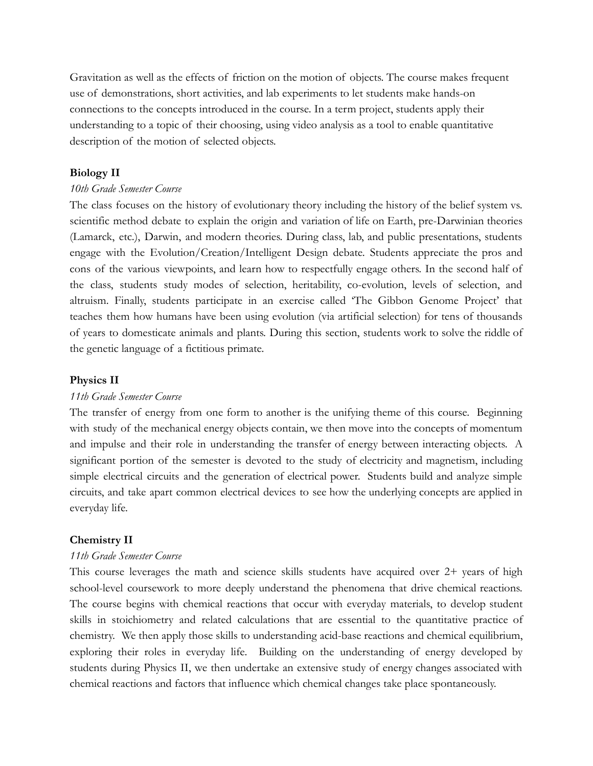Gravitation as well as the effects of friction on the motion of objects. The course makes frequent use of demonstrations, short activities, and lab experiments to let students make hands-on connections to the concepts introduced in the course. In a term project, students apply their understanding to a topic of their choosing, using video analysis as a tool to enable quantitative description of the motion of selected objects.

# **Biology II**

# *10th Grade Semester Course*

The class focuses on the history of evolutionary theory including the history of the belief system vs. scientific method debate to explain the origin and variation of life on Earth, pre-Darwinian theories (Lamarck, etc.), Darwin, and modern theories. During class, lab, and public presentations, students engage with the Evolution/Creation/Intelligent Design debate. Students appreciate the pros and cons of the various viewpoints, and learn how to respectfully engage others. In the second half of the class, students study modes of selection, heritability, co-evolution, levels of selection, and altruism. Finally, students participate in an exercise called 'The Gibbon Genome Project' that teaches them how humans have been using evolution (via artificial selection) for tens of thousands of years to domesticate animals and plants. During this section, students work to solve the riddle of the genetic language of a fictitious primate.

## **Physics II**

#### *11th Grade Semester Course*

The transfer of energy from one form to another is the unifying theme of this course. Beginning with study of the mechanical energy objects contain, we then move into the concepts of momentum and impulse and their role in understanding the transfer of energy between interacting objects. A significant portion of the semester is devoted to the study of electricity and magnetism, including simple electrical circuits and the generation of electrical power. Students build and analyze simple circuits, and take apart common electrical devices to see how the underlying concepts are applied in everyday life.

# **Chemistry II**

# *11th Grade Semester Course*

This course leverages the math and science skills students have acquired over 2+ years of high school-level coursework to more deeply understand the phenomena that drive chemical reactions. The course begins with chemical reactions that occur with everyday materials, to develop student skills in stoichiometry and related calculations that are essential to the quantitative practice of chemistry. We then apply those skills to understanding acid-base reactions and chemical equilibrium, exploring their roles in everyday life. Building on the understanding of energy developed by students during Physics II, we then undertake an extensive study of energy changes associated with chemical reactions and factors that influence which chemical changes take place spontaneously.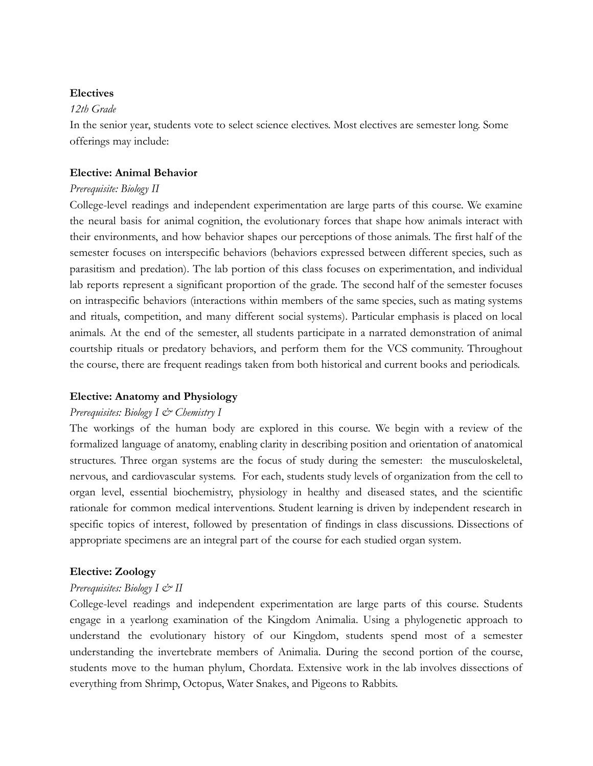# **Electives**

## *12th Grade*

In the senior year, students vote to select science electives. Most electives are semester long. Some offerings may include:

# **Elective: Animal Behavior**

### *Prerequisite: Biology II*

College-level readings and independent experimentation are large parts of this course. We examine the neural basis for animal cognition, the evolutionary forces that shape how animals interact with their environments, and how behavior shapes our perceptions of those animals. The first half of the semester focuses on interspecific behaviors (behaviors expressed between different species, such as parasitism and predation). The lab portion of this class focuses on experimentation, and individual lab reports represent a significant proportion of the grade. The second half of the semester focuses on intraspecific behaviors (interactions within members of the same species, such as mating systems and rituals, competition, and many different social systems). Particular emphasis is placed on local animals. At the end of the semester, all students participate in a narrated demonstration of animal courtship rituals or predatory behaviors, and perform them for the VCS community. Throughout the course, there are frequent readings taken from both historical and current books and periodicals.

# **Elective: Anatomy and Physiology**

#### *Prerequisites: Biology I & Chemistry I*

The workings of the human body are explored in this course. We begin with a review of the formalized language of anatomy, enabling clarity in describing position and orientation of anatomical structures. Three organ systems are the focus of study during the semester: the musculoskeletal, nervous, and cardiovascular systems. For each, students study levels of organization from the cell to organ level, essential biochemistry, physiology in healthy and diseased states, and the scientific rationale for common medical interventions. Student learning is driven by independent research in specific topics of interest, followed by presentation of findings in class discussions. Dissections of appropriate specimens are an integral part of the course for each studied organ system.

# **Elective: Zoology**

# *Prerequisites: Biology I*  $\mathcal{Q}$ *<sup>y</sup> II*

College-level readings and independent experimentation are large parts of this course. Students engage in a yearlong examination of the Kingdom Animalia. Using a phylogenetic approach to understand the evolutionary history of our Kingdom, students spend most of a semester understanding the invertebrate members of Animalia. During the second portion of the course, students move to the human phylum, Chordata. Extensive work in the lab involves dissections of everything from Shrimp, Octopus, Water Snakes, and Pigeons to Rabbits.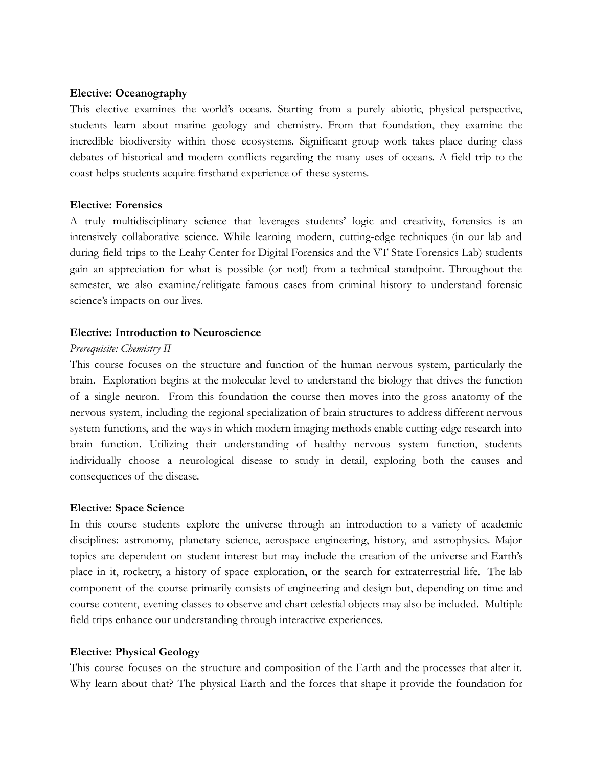# **Elective: Oceanography**

This elective examines the world's oceans. Starting from a purely abiotic, physical perspective, students learn about marine geology and chemistry. From that foundation, they examine the incredible biodiversity within those ecosystems. Significant group work takes place during class debates of historical and modern conflicts regarding the many uses of oceans. A field trip to the coast helps students acquire firsthand experience of these systems.

# **Elective: Forensics**

A truly multidisciplinary science that leverages students' logic and creativity, forensics is an intensively collaborative science. While learning modern, cutting-edge techniques (in our lab and during field trips to the Leahy Center for Digital Forensics and the VT State Forensics Lab) students gain an appreciation for what is possible (or not!) from a technical standpoint. Throughout the semester, we also examine/relitigate famous cases from criminal history to understand forensic science's impacts on our lives.

# **Elective: Introduction to Neuroscience**

# *Prerequisite: Chemistry II*

This course focuses on the structure and function of the human nervous system, particularly the brain. Exploration begins at the molecular level to understand the biology that drives the function of a single neuron. From this foundation the course then moves into the gross anatomy of the nervous system, including the regional specialization of brain structures to address different nervous system functions, and the ways in which modern imaging methods enable cutting-edge research into brain function. Utilizing their understanding of healthy nervous system function, students individually choose a neurological disease to study in detail, exploring both the causes and consequences of the disease.

# **Elective: Space Science**

In this course students explore the universe through an introduction to a variety of academic disciplines: astronomy, planetary science, aerospace engineering, history, and astrophysics. Major topics are dependent on student interest but may include the creation of the universe and Earth's place in it, rocketry, a history of space exploration, or the search for extraterrestrial life. The lab component of the course primarily consists of engineering and design but, depending on time and course content, evening classes to observe and chart celestial objects may also be included. Multiple field trips enhance our understanding through interactive experiences.

# **Elective: Physical Geology**

This course focuses on the structure and composition of the Earth and the processes that alter it. Why learn about that? The physical Earth and the forces that shape it provide the foundation for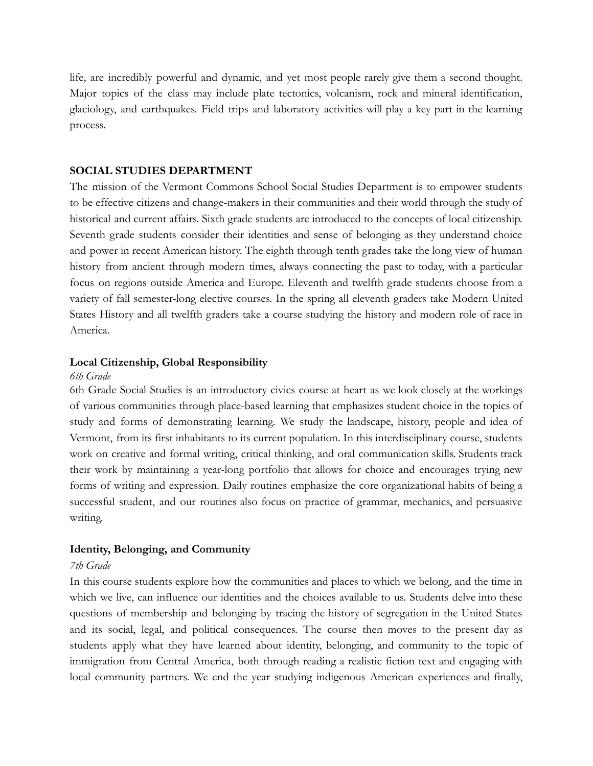life, are incredibly powerful and dynamic, and yet most people rarely give them a second thought. Major topics of the class may include plate tectonics, volcanism, rock and mineral identification, glaciology, and earthquakes. Field trips and laboratory activities will play a key part in the learning process.

# <span id="page-15-0"></span>**SOCIAL STUDIES DEPARTMENT**

The mission of the Vermont Commons School Social Studies Department is to empower students to be effective citizens and change-makers in their communities and their world through the study of historical and current affairs. Sixth grade students are introduced to the concepts of local citizenship. Seventh grade students consider their identities and sense of belonging as they understand choice and power in recent American history. The eighth through tenth grades take the long view of human history from ancient through modern times, always connecting the past to today, with a particular focus on regions outside America and Europe. Eleventh and twelfth grade students choose from a variety of fall semester-long elective courses. In the spring all eleventh graders take Modern United States History and all twelfth graders take a course studying the history and modern role of race in America.

#### **Local Citizenship, Global Responsibility**

#### *6th Grade*

6th Grade Social Studies is an introductory civics course at heart as we look closely at the workings of various communities through place-based learning that emphasizes student choice in the topics of study and forms of demonstrating learning. We study the landscape, history, people and idea of Vermont, from its first inhabitants to its current population. In this interdisciplinary course, students work on creative and formal writing, critical thinking, and oral communication skills. Students track their work by maintaining a year-long portfolio that allows for choice and encourages trying new forms of writing and expression. Daily routines emphasize the core organizational habits of being a successful student, and our routines also focus on practice of grammar, mechanics, and persuasive writing.

#### **Identity, Belonging, and Community**

#### *7th Grade*

In this course students explore how the communities and places to which we belong, and the time in which we live, can influence our identities and the choices available to us. Students delve into these questions of membership and belonging by tracing the history of segregation in the United States and its social, legal, and political consequences. The course then moves to the present day as students apply what they have learned about identity, belonging, and community to the topic of immigration from Central America, both through reading a realistic fiction text and engaging with local community partners. We end the year studying indigenous American experiences and finally,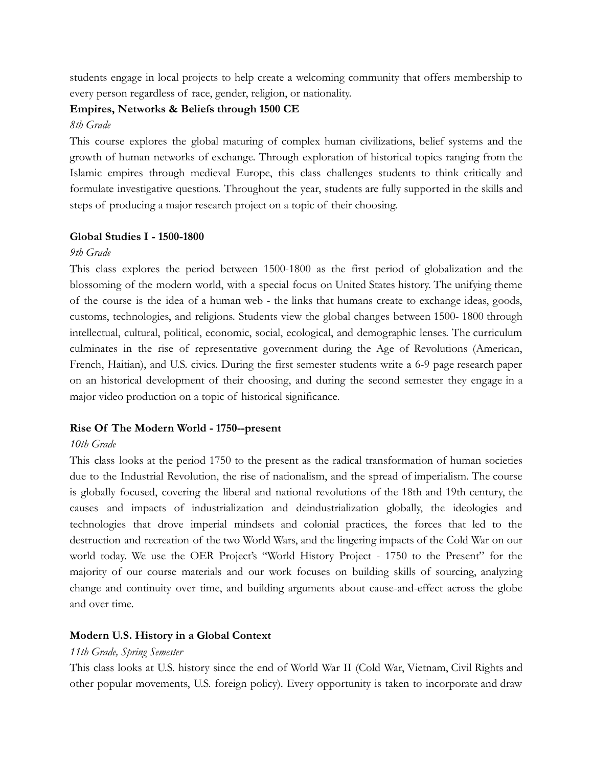students engage in local projects to help create a welcoming community that offers membership to every person regardless of race, gender, religion, or nationality.

# **Empires, Networks & Beliefs through 1500 CE**

# *8th Grade*

This course explores the global maturing of complex human civilizations, belief systems and the growth of human networks of exchange. Through exploration of historical topics ranging from the Islamic empires through medieval Europe, this class challenges students to think critically and formulate investigative questions. Throughout the year, students are fully supported in the skills and steps of producing a major research project on a topic of their choosing.

# **Global Studies I - 1500-1800**

# *9th Grade*

This class explores the period between 1500-1800 as the first period of globalization and the blossoming of the modern world, with a special focus on United States history. The unifying theme of the course is the idea of a human web - the links that humans create to exchange ideas, goods, customs, technologies, and religions. Students view the global changes between 1500- 1800 through intellectual, cultural, political, economic, social, ecological, and demographic lenses. The curriculum culminates in the rise of representative government during the Age of Revolutions (American, French, Haitian), and U.S. civics. During the first semester students write a 6-9 page research paper on an historical development of their choosing, and during the second semester they engage in a major video production on a topic of historical significance.

# **Rise Of The Modern World - 1750--present**

# *10th Grade*

This class looks at the period 1750 to the present as the radical transformation of human societies due to the Industrial Revolution, the rise of nationalism, and the spread of imperialism. The course is globally focused, covering the liberal and national revolutions of the 18th and 19th century, the causes and impacts of industrialization and deindustrialization globally, the ideologies and technologies that drove imperial mindsets and colonial practices, the forces that led to the destruction and recreation of the two World Wars, and the lingering impacts of the Cold War on our world today. We use the OER Project's "World History Project - 1750 to the Present" for the majority of our course materials and our work focuses on building skills of sourcing, analyzing change and continuity over time, and building arguments about cause-and-effect across the globe and over time.

# **Modern U.S. History in a Global Context**

# *11th Grade, Spring Semester*

This class looks at U.S. history since the end of World War II (Cold War, Vietnam, Civil Rights and other popular movements, U.S. foreign policy). Every opportunity is taken to incorporate and draw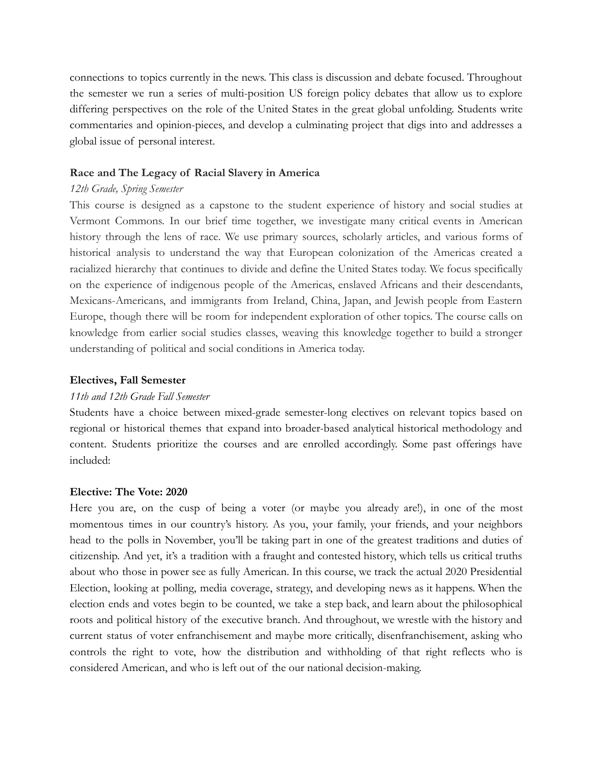connections to topics currently in the news. This class is discussion and debate focused. Throughout the semester we run a series of multi-position US foreign policy debates that allow us to explore differing perspectives on the role of the United States in the great global unfolding. Students write commentaries and opinion-pieces, and develop a culminating project that digs into and addresses a global issue of personal interest.

## **Race and The Legacy of Racial Slavery in America**

## *12th Grade, Spring Semester*

This course is designed as a capstone to the student experience of history and social studies at Vermont Commons. In our brief time together, we investigate many critical events in American history through the lens of race. We use primary sources, scholarly articles, and various forms of historical analysis to understand the way that European colonization of the Americas created a racialized hierarchy that continues to divide and define the United States today. We focus specifically on the experience of indigenous people of the Americas, enslaved Africans and their descendants, Mexicans-Americans, and immigrants from Ireland, China, Japan, and Jewish people from Eastern Europe, though there will be room for independent exploration of other topics. The course calls on knowledge from earlier social studies classes, weaving this knowledge together to build a stronger understanding of political and social conditions in America today.

#### **Electives, Fall Semester**

#### *11th and 12th Grade Fall Semester*

Students have a choice between mixed-grade semester-long electives on relevant topics based on regional or historical themes that expand into broader-based analytical historical methodology and content. Students prioritize the courses and are enrolled accordingly. Some past offerings have included:

#### **Elective: The Vote: 2020**

Here you are, on the cusp of being a voter (or maybe you already are!), in one of the most momentous times in our country's history. As you, your family, your friends, and your neighbors head to the polls in November, you'll be taking part in one of the greatest traditions and duties of citizenship. And yet, it's a tradition with a fraught and contested history, which tells us critical truths about who those in power see as fully American. In this course, we track the actual 2020 Presidential Election, looking at polling, media coverage, strategy, and developing news as it happens. When the election ends and votes begin to be counted, we take a step back, and learn about the philosophical roots and political history of the executive branch. And throughout, we wrestle with the history and current status of voter enfranchisement and maybe more critically, disenfranchisement, asking who controls the right to vote, how the distribution and withholding of that right reflects who is considered American, and who is left out of the our national decision-making.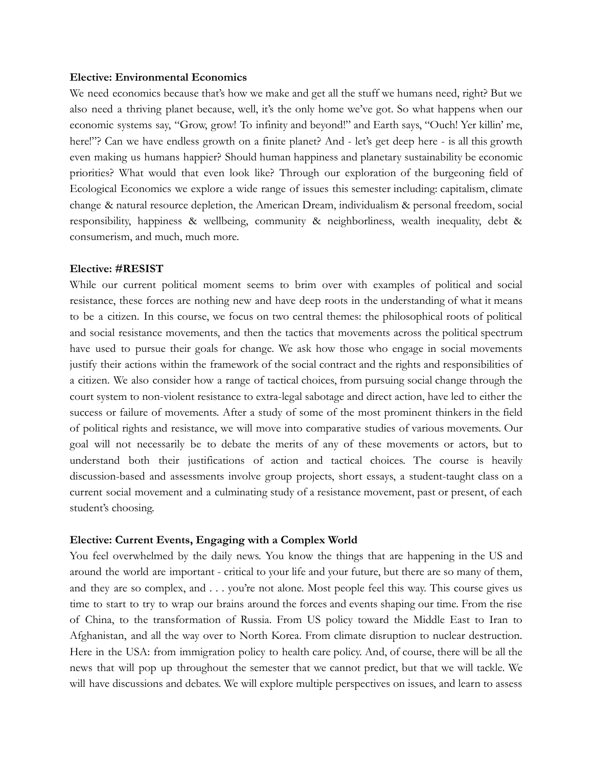#### **Elective: Environmental Economics**

We need economics because that's how we make and get all the stuff we humans need, right? But we also need a thriving planet because, well, it's the only home we've got. So what happens when our economic systems say, "Grow, grow! To infinity and beyond!" and Earth says, "Ouch! Yer killin' me, here!"? Can we have endless growth on a finite planet? And - let's get deep here - is all this growth even making us humans happier? Should human happiness and planetary sustainability be economic priorities? What would that even look like? Through our exploration of the burgeoning field of Ecological Economics we explore a wide range of issues this semester including: capitalism, climate change & natural resource depletion, the American Dream, individualism & personal freedom, social responsibility, happiness & wellbeing, community & neighborliness, wealth inequality, debt & consumerism, and much, much more.

### **Elective: #RESIST**

While our current political moment seems to brim over with examples of political and social resistance, these forces are nothing new and have deep roots in the understanding of what it means to be a citizen. In this course, we focus on two central themes: the philosophical roots of political and social resistance movements, and then the tactics that movements across the political spectrum have used to pursue their goals for change. We ask how those who engage in social movements justify their actions within the framework of the social contract and the rights and responsibilities of a citizen. We also consider how a range of tactical choices, from pursuing social change through the court system to non-violent resistance to extra-legal sabotage and direct action, have led to either the success or failure of movements. After a study of some of the most prominent thinkers in the field of political rights and resistance, we will move into comparative studies of various movements. Our goal will not necessarily be to debate the merits of any of these movements or actors, but to understand both their justifications of action and tactical choices. The course is heavily discussion-based and assessments involve group projects, short essays, a student-taught class on a current social movement and a culminating study of a resistance movement, past or present, of each student's choosing.

# **Elective: Current Events, Engaging with a Complex World**

You feel overwhelmed by the daily news. You know the things that are happening in the US and around the world are important - critical to your life and your future, but there are so many of them, and they are so complex, and . . . you're not alone. Most people feel this way. This course gives us time to start to try to wrap our brains around the forces and events shaping our time. From the rise of China, to the transformation of Russia. From US policy toward the Middle East to Iran to Afghanistan, and all the way over to North Korea. From climate disruption to nuclear destruction. Here in the USA: from immigration policy to health care policy. And, of course, there will be all the news that will pop up throughout the semester that we cannot predict, but that we will tackle. We will have discussions and debates. We will explore multiple perspectives on issues, and learn to assess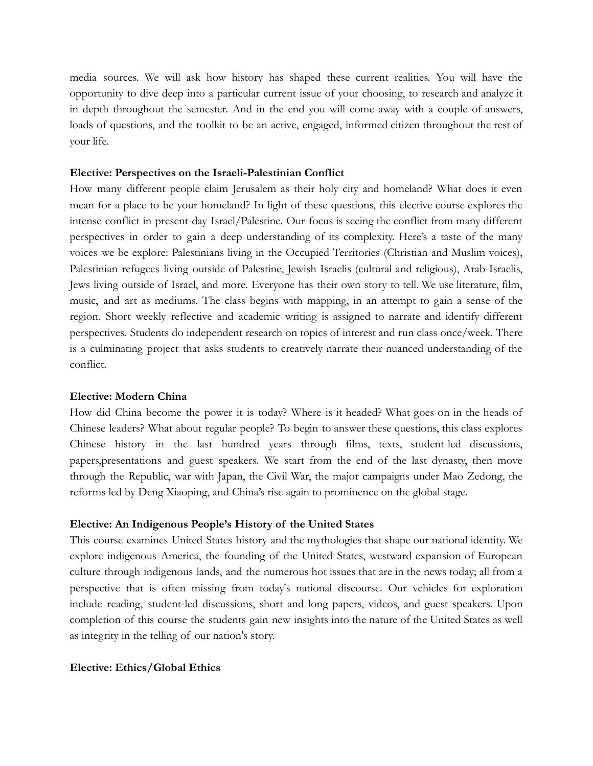media sources. We will ask how history has shaped these current realities. You will have the opportunity to dive deep into a particular current issue of your choosing, to research and analyze it in depth throughout the semester. And in the end you will come away with a couple of answers, loads of questions, and the toolkit to be an active, engaged, informed citizen throughout the rest of your life.

### **Elective: Perspectives on the Israeli-Palestinian Conflict**

How many different people claim Jerusalem as their holy city and homeland? What does it even mean for a place to be your homeland? In light of these questions, this elective course explores the intense conflict in present-day Israel/Palestine. Our focus is seeing the conflict from many different perspectives in order to gain a deep understanding of its complexity. Here's a taste of the many voices we be explore: Palestinians living in the Occupied Territories (Christian and Muslim voices), Palestinian refugees living outside of Palestine, Jewish Israelis (cultural and religious), Arab-Israelis, Jews living outside of Israel, and more. Everyone has their own story to tell. We use literature, film, music, and art as mediums. The class begins with mapping, in an attempt to gain a sense of the region. Short weekly reflective and academic writing is assigned to narrate and identify different perspectives. Students do independent research on topics of interest and run class once/week. There is a culminating project that asks students to creatively narrate their nuanced understanding of the conflict.

# **Elective: Modern China**

How did China become the power it is today? Where is it headed? What goes on in the heads of Chinese leaders? What about regular people? To begin to answer these questions, this class explores Chinese history in the last hundred years through films, texts, student-led discussions, papers,presentations and guest speakers. We start from the end of the last dynasty, then move through the Republic, war with Japan, the Civil War, the major campaigns under Mao Zedong, the reforms led by Deng Xiaoping, and China's rise again to prominence on the global stage.

# **Elective: An Indigenous People's History of the United States**

This course examines United States history and the mythologies that shape our national identity. We explore indigenous America, the founding of the United States, westward expansion of European culture through indigenous lands, and the numerous hot issues that are in the news today; all from a perspective that is often missing from today's national discourse. Our vehicles for exploration include reading, student-led discussions, short and long papers, videos, and guest speakers. Upon completion of this course the students gain new insights into the nature of the United States as well as integrity in the telling of our nation's story.

#### **Elective: Ethics/Global Ethics**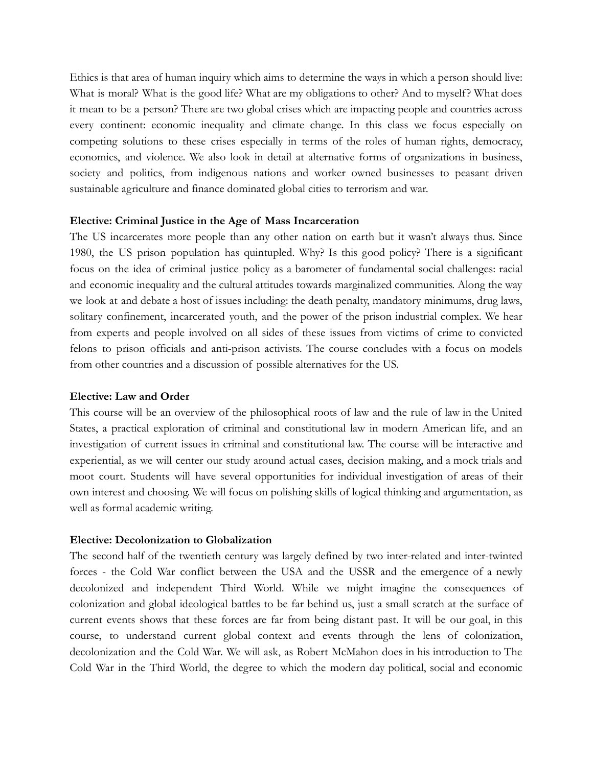Ethics is that area of human inquiry which aims to determine the ways in which a person should live: What is moral? What is the good life? What are my obligations to other? And to myself? What does it mean to be a person? There are two global crises which are impacting people and countries across every continent: economic inequality and climate change. In this class we focus especially on competing solutions to these crises especially in terms of the roles of human rights, democracy, economics, and violence. We also look in detail at alternative forms of organizations in business, society and politics, from indigenous nations and worker owned businesses to peasant driven sustainable agriculture and finance dominated global cities to terrorism and war.

### **Elective: Criminal Justice in the Age of Mass Incarceration**

The US incarcerates more people than any other nation on earth but it wasn't always thus. Since 1980, the US prison population has quintupled. Why? Is this good policy? There is a significant focus on the idea of criminal justice policy as a barometer of fundamental social challenges: racial and economic inequality and the cultural attitudes towards marginalized communities. Along the way we look at and debate a host of issues including: the death penalty, mandatory minimums, drug laws, solitary confinement, incarcerated youth, and the power of the prison industrial complex. We hear from experts and people involved on all sides of these issues from victims of crime to convicted felons to prison officials and anti-prison activists. The course concludes with a focus on models from other countries and a discussion of possible alternatives for the US.

#### **Elective: Law and Order**

This course will be an overview of the philosophical roots of law and the rule of law in the United States, a practical exploration of criminal and constitutional law in modern American life, and an investigation of current issues in criminal and constitutional law. The course will be interactive and experiential, as we will center our study around actual cases, decision making, and a mock trials and moot court. Students will have several opportunities for individual investigation of areas of their own interest and choosing. We will focus on polishing skills of logical thinking and argumentation, as well as formal academic writing.

# **Elective: Decolonization to Globalization**

The second half of the twentieth century was largely defined by two inter-related and inter-twinted forces - the Cold War conflict between the USA and the USSR and the emergence of a newly decolonized and independent Third World. While we might imagine the consequences of colonization and global ideological battles to be far behind us, just a small scratch at the surface of current events shows that these forces are far from being distant past. It will be our goal, in this course, to understand current global context and events through the lens of colonization, decolonization and the Cold War. We will ask, as Robert McMahon does in his introduction to The Cold War in the Third World, the degree to which the modern day political, social and economic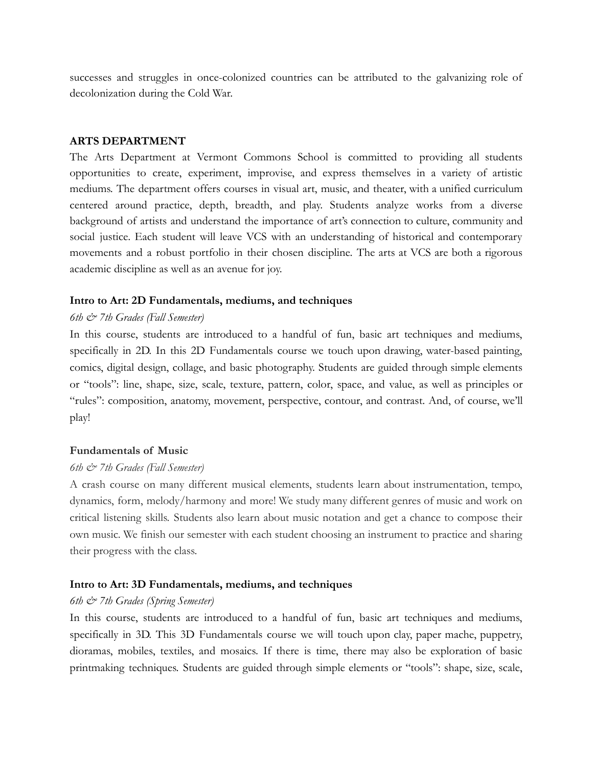successes and struggles in once-colonized countries can be attributed to the galvanizing role of decolonization during the Cold War.

#### **ARTS DEPARTMENT**

The Arts Department at Vermont Commons School is committed to providing all students opportunities to create, experiment, improvise, and express themselves in a variety of artistic mediums. The department offers courses in visual art, music, and theater, with a unified curriculum centered around practice, depth, breadth, and play. Students analyze works from a diverse background of artists and understand the importance of art's connection to culture, community and social justice. Each student will leave VCS with an understanding of historical and contemporary movements and a robust portfolio in their chosen discipline. The arts at VCS are both a rigorous academic discipline as well as an avenue for joy.

#### **Intro to Art: 2D Fundamentals, mediums, and techniques**

#### *6th & 7th Grades (Fall Semester)*

In this course, students are introduced to a handful of fun, basic art techniques and mediums, specifically in 2D. In this 2D Fundamentals course we touch upon drawing, water-based painting, comics, digital design, collage, and basic photography. Students are guided through simple elements or "tools": line, shape, size, scale, texture, pattern, color, space, and value, as well as principles or "rules": composition, anatomy, movement, perspective, contour, and contrast. And, of course, we'll play!

#### **Fundamentals of Music**

#### *6th & 7th Grades (Fall Semester)*

A crash course on many different musical elements, students learn about instrumentation, tempo, dynamics, form, melody/harmony and more! We study many different genres of music and work on critical listening skills. Students also learn about music notation and get a chance to compose their own music. We finish our semester with each student choosing an instrument to practice and sharing their progress with the class.

#### **Intro to Art: 3D Fundamentals, mediums, and techniques**

# *6th & 7th Grades (Spring Semester)*

In this course, students are introduced to a handful of fun, basic art techniques and mediums, specifically in 3D. This 3D Fundamentals course we will touch upon clay, paper mache, puppetry, dioramas, mobiles, textiles, and mosaics. If there is time, there may also be exploration of basic printmaking techniques. Students are guided through simple elements or "tools": shape, size, scale,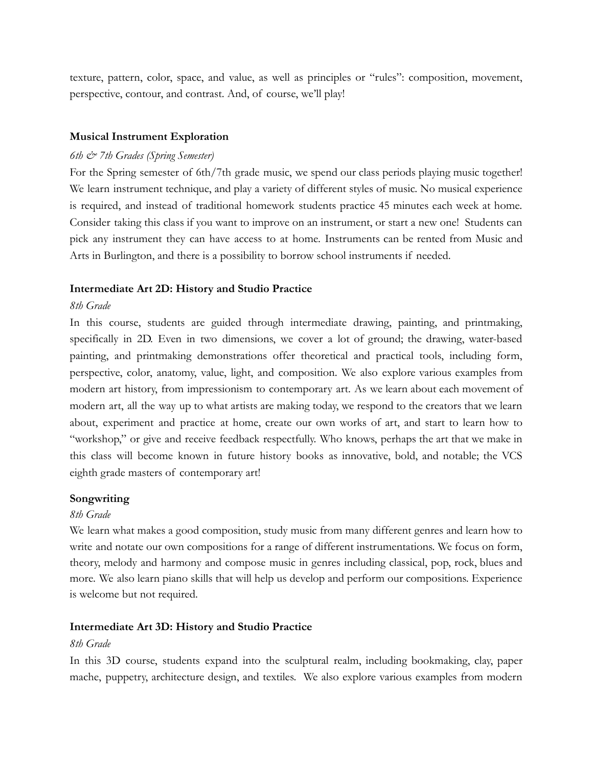texture, pattern, color, space, and value, as well as principles or "rules": composition, movement, perspective, contour, and contrast. And, of course, we'll play!

# **Musical Instrument Exploration**

# *6th & 7th Grades (Spring Semester)*

For the Spring semester of 6th/7th grade music, we spend our class periods playing music together! We learn instrument technique, and play a variety of different styles of music. No musical experience is required, and instead of traditional homework students practice 45 minutes each week at home. Consider taking this class if you want to improve on an instrument, or start a new one! Students can pick any instrument they can have access to at home. Instruments can be rented from Music and Arts in Burlington, and there is a possibility to borrow school instruments if needed.

# **Intermediate Art 2D: History and Studio Practice**

#### *8th Grade*

In this course, students are guided through intermediate drawing, painting, and printmaking, specifically in 2D. Even in two dimensions, we cover a lot of ground; the drawing, water-based painting, and printmaking demonstrations offer theoretical and practical tools, including form, perspective, color, anatomy, value, light, and composition. We also explore various examples from modern art history, from impressionism to contemporary art. As we learn about each movement of modern art, all the way up to what artists are making today, we respond to the creators that we learn about, experiment and practice at home, create our own works of art, and start to learn how to "workshop," or give and receive feedback respectfully. Who knows, perhaps the art that we make in this class will become known in future history books as innovative, bold, and notable; the VCS eighth grade masters of contemporary art!

#### **Songwriting**

## *8th Grade*

We learn what makes a good composition, study music from many different genres and learn how to write and notate our own compositions for a range of different instrumentations. We focus on form, theory, melody and harmony and compose music in genres including classical, pop, rock, blues and more. We also learn piano skills that will help us develop and perform our compositions. Experience is welcome but not required.

# **Intermediate Art 3D: History and Studio Practice**

#### *8th Grade*

In this 3D course, students expand into the sculptural realm, including bookmaking, clay, paper mache, puppetry, architecture design, and textiles. We also explore various examples from modern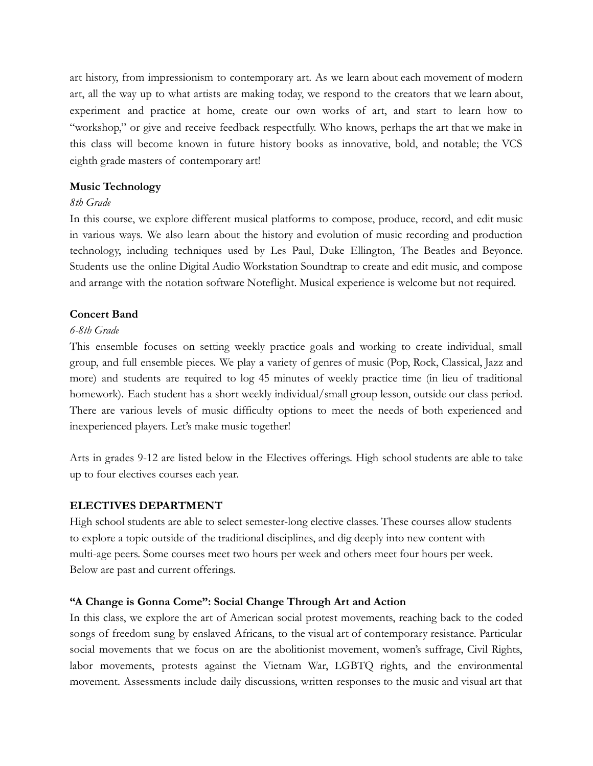art history, from impressionism to contemporary art. As we learn about each movement of modern art, all the way up to what artists are making today, we respond to the creators that we learn about, experiment and practice at home, create our own works of art, and start to learn how to "workshop," or give and receive feedback respectfully. Who knows, perhaps the art that we make in this class will become known in future history books as innovative, bold, and notable; the VCS eighth grade masters of contemporary art!

# **Music Technology**

# *8th Grade*

In this course, we explore different musical platforms to compose, produce, record, and edit music in various ways. We also learn about the history and evolution of music recording and production technology, including techniques used by Les Paul, Duke Ellington, The Beatles and Beyonce. Students use the online Digital Audio Workstation Soundtrap to create and edit music, and compose and arrange with the notation software Noteflight. Musical experience is welcome but not required.

# **Concert Band**

# *6-8th Grade*

This ensemble focuses on setting weekly practice goals and working to create individual, small group, and full ensemble pieces. We play a variety of genres of music (Pop, Rock, Classical, Jazz and more) and students are required to log 45 minutes of weekly practice time (in lieu of traditional homework). Each student has a short weekly individual/small group lesson, outside our class period. There are various levels of music difficulty options to meet the needs of both experienced and inexperienced players. Let's make music together!

Arts in grades 9-12 are listed below in the Electives offerings. High school students are able to take up to four electives courses each year.

# <span id="page-23-0"></span>**ELECTIVES DEPARTMENT**

High school students are able to select semester-long elective classes. These courses allow students to explore a topic outside of the traditional disciplines, and dig deeply into new content with multi-age peers. Some courses meet two hours per week and others meet four hours per week. Below are past and current offerings.

# **"A Change is Gonna Come": Social Change Through Art and Action**

In this class, we explore the art of American social protest movements, reaching back to the coded songs of freedom sung by enslaved Africans, to the visual art of contemporary resistance. Particular social movements that we focus on are the abolitionist movement, women's suffrage, Civil Rights, labor movements, protests against the Vietnam War, LGBTQ rights, and the environmental movement. Assessments include daily discussions, written responses to the music and visual art that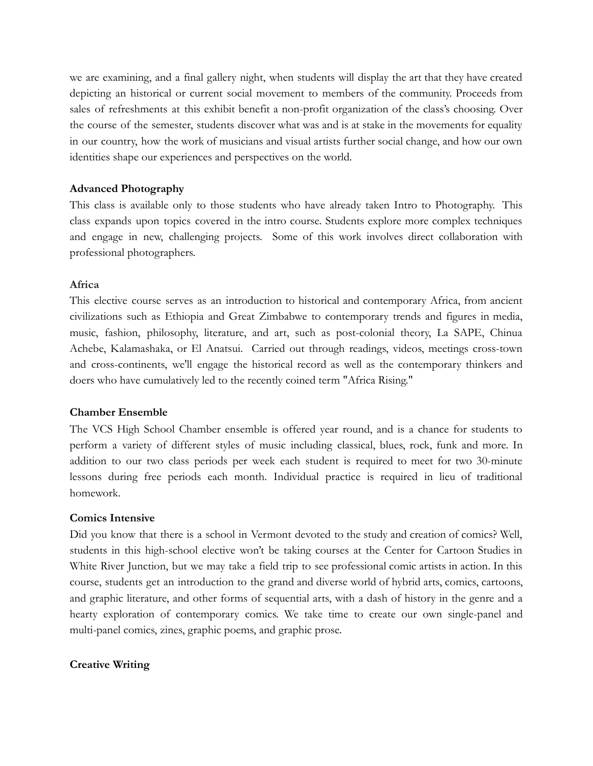we are examining, and a final gallery night, when students will display the art that they have created depicting an historical or current social movement to members of the community. Proceeds from sales of refreshments at this exhibit benefit a non-profit organization of the class's choosing. Over the course of the semester, students discover what was and is at stake in the movements for equality in our country, how the work of musicians and visual artists further social change, and how our own identities shape our experiences and perspectives on the world.

# **Advanced Photography**

This class is available only to those students who have already taken Intro to Photography. This class expands upon topics covered in the intro course. Students explore more complex techniques and engage in new, challenging projects. Some of this work involves direct collaboration with professional photographers.

# **Africa**

This elective course serves as an introduction to historical and contemporary Africa, from ancient civilizations such as Ethiopia and Great Zimbabwe to contemporary trends and figures in media, music, fashion, philosophy, literature, and art, such as post-colonial theory, La SAPE, Chinua Achebe, Kalamashaka, or El Anatsui. Carried out through readings, videos, meetings cross-town and cross-continents, we'll engage the historical record as well as the contemporary thinkers and doers who have cumulatively led to the recently coined term "Africa Rising."

# **Chamber Ensemble**

The VCS High School Chamber ensemble is offered year round, and is a chance for students to perform a variety of different styles of music including classical, blues, rock, funk and more. In addition to our two class periods per week each student is required to meet for two 30-minute lessons during free periods each month. Individual practice is required in lieu of traditional homework.

# **Comics Intensive**

Did you know that there is a school in Vermont devoted to the study and creation of comics? Well, students in this high-school elective won't be taking courses at the Center for Cartoon Studies in White River Junction, but we may take a field trip to see professional comic artists in action. In this course, students get an introduction to the grand and diverse world of hybrid arts, comics, cartoons, and graphic literature, and other forms of sequential arts, with a dash of history in the genre and a hearty exploration of contemporary comics. We take time to create our own single-panel and multi-panel comics, zines, graphic poems, and graphic prose.

# **Creative Writing**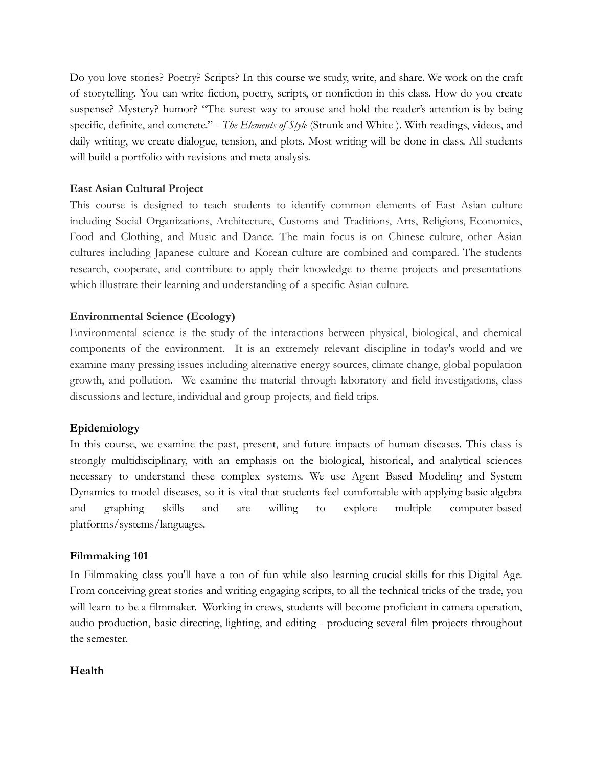Do you love stories? Poetry? Scripts? In this course we study, write, and share. We work on the craft of storytelling. You can write fiction, poetry, scripts, or nonfiction in this class. How do you create suspense? Mystery? humor? "The surest way to arouse and hold the reader's attention is by being specific, definite, and concrete." - *The Elements of Style* (Strunk and White ). With readings, videos, and daily writing, we create dialogue, tension, and plots. Most writing will be done in class. All students will build a portfolio with revisions and meta analysis.

# **East Asian Cultural Project**

This course is designed to teach students to identify common elements of East Asian culture including Social Organizations, Architecture, Customs and Traditions, Arts, Religions, Economics, Food and Clothing, and Music and Dance. The main focus is on Chinese culture, other Asian cultures including Japanese culture and Korean culture are combined and compared. The students research, cooperate, and contribute to apply their knowledge to theme projects and presentations which illustrate their learning and understanding of a specific Asian culture.

# **Environmental Science (Ecology)**

Environmental science is the study of the interactions between physical, biological, and chemical components of the environment. It is an extremely relevant discipline in today's world and we examine many pressing issues including alternative energy sources, climate change, global population growth, and pollution. We examine the material through laboratory and field investigations, class discussions and lecture, individual and group projects, and field trips.

# **Epidemiology**

In this course, we examine the past, present, and future impacts of human diseases. This class is strongly multidisciplinary, with an emphasis on the biological, historical, and analytical sciences necessary to understand these complex systems. We use Agent Based Modeling and System Dynamics to model diseases, so it is vital that students feel comfortable with applying basic algebra and graphing skills and are willing to explore multiple computer-based platforms/systems/languages.

# **Filmmaking 101**

In Filmmaking class you'll have a ton of fun while also learning crucial skills for this Digital Age. From conceiving great stories and writing engaging scripts, to all the technical tricks of the trade, you will learn to be a filmmaker. Working in crews, students will become proficient in camera operation, audio production, basic directing, lighting, and editing - producing several film projects throughout the semester.

# **Health**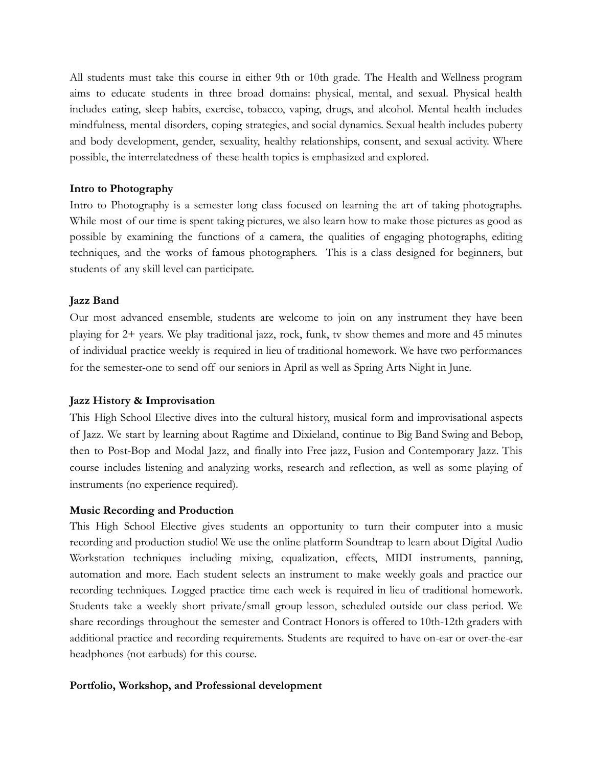All students must take this course in either 9th or 10th grade. The Health and Wellness program aims to educate students in three broad domains: physical, mental, and sexual. Physical health includes eating, sleep habits, exercise, tobacco, vaping, drugs, and alcohol. Mental health includes mindfulness, mental disorders, coping strategies, and social dynamics. Sexual health includes puberty and body development, gender, sexuality, healthy relationships, consent, and sexual activity. Where possible, the interrelatedness of these health topics is emphasized and explored.

# **Intro to Photography**

Intro to Photography is a semester long class focused on learning the art of taking photographs. While most of our time is spent taking pictures, we also learn how to make those pictures as good as possible by examining the functions of a camera, the qualities of engaging photographs, editing techniques, and the works of famous photographers. This is a class designed for beginners, but students of any skill level can participate.

# **Jazz Band**

Our most advanced ensemble, students are welcome to join on any instrument they have been playing for 2+ years. We play traditional jazz, rock, funk, tv show themes and more and 45 minutes of individual practice weekly is required in lieu of traditional homework. We have two performances for the semester-one to send off our seniors in April as well as Spring Arts Night in June.

# **Jazz History & Improvisation**

This High School Elective dives into the cultural history, musical form and improvisational aspects of Jazz. We start by learning about Ragtime and Dixieland, continue to Big Band Swing and Bebop, then to Post-Bop and Modal Jazz, and finally into Free jazz, Fusion and Contemporary Jazz. This course includes listening and analyzing works, research and reflection, as well as some playing of instruments (no experience required).

# **Music Recording and Production**

This High School Elective gives students an opportunity to turn their computer into a music recording and production studio! We use the online platform Soundtrap to learn about Digital Audio Workstation techniques including mixing, equalization, effects, MIDI instruments, panning, automation and more. Each student selects an instrument to make weekly goals and practice our recording techniques. Logged practice time each week is required in lieu of traditional homework. Students take a weekly short private/small group lesson, scheduled outside our class period. We share recordings throughout the semester and Contract Honors is offered to 10th-12th graders with additional practice and recording requirements. Students are required to have on-ear or over-the-ear headphones (not earbuds) for this course.

# **Portfolio, Workshop, and Professional development**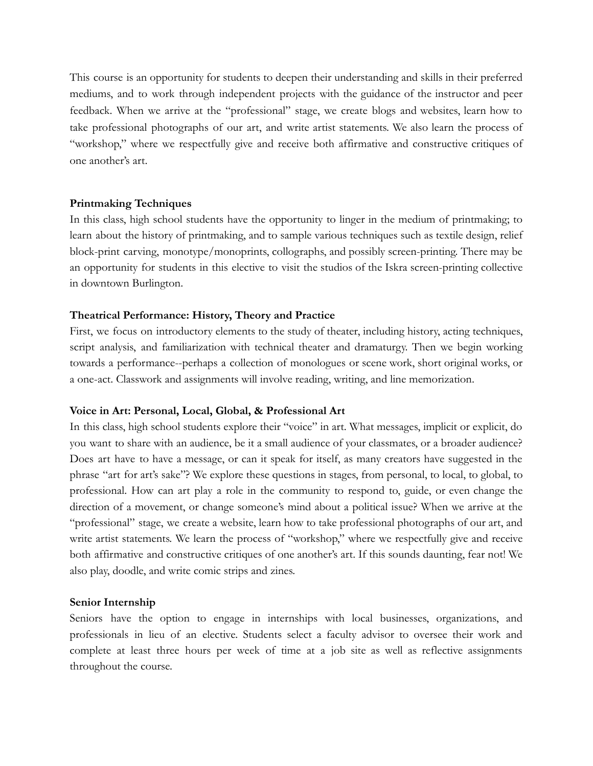This course is an opportunity for students to deepen their understanding and skills in their preferred mediums, and to work through independent projects with the guidance of the instructor and peer feedback. When we arrive at the "professional" stage, we create blogs and websites, learn how to take professional photographs of our art, and write artist statements. We also learn the process of "workshop," where we respectfully give and receive both affirmative and constructive critiques of one another's art.

# **Printmaking Techniques**

In this class, high school students have the opportunity to linger in the medium of printmaking; to learn about the history of printmaking, and to sample various techniques such as textile design, relief block-print carving, monotype/monoprints, collographs, and possibly screen-printing. There may be an opportunity for students in this elective to visit the studios of the Iskra screen-printing collective in downtown Burlington.

# **Theatrical Performance: History, Theory and Practice**

First, we focus on introductory elements to the study of theater, including history, acting techniques, script analysis, and familiarization with technical theater and dramaturgy. Then we begin working towards a performance--perhaps a collection of monologues or scene work, short original works, or a one-act. Classwork and assignments will involve reading, writing, and line memorization.

# **Voice in Art: Personal, Local, Global, & Professional Art**

In this class, high school students explore their "voice" in art. What messages, implicit or explicit, do you want to share with an audience, be it a small audience of your classmates, or a broader audience? Does art have to have a message, or can it speak for itself, as many creators have suggested in the phrase "art for art's sake"? We explore these questions in stages, from personal, to local, to global, to professional. How can art play a role in the community to respond to, guide, or even change the direction of a movement, or change someone's mind about a political issue? When we arrive at the "professional" stage, we create a website, learn how to take professional photographs of our art, and write artist statements. We learn the process of "workshop," where we respectfully give and receive both affirmative and constructive critiques of one another's art. If this sounds daunting, fear not! We also play, doodle, and write comic strips and zines.

# **Senior Internship**

Seniors have the option to engage in internships with local businesses, organizations, and professionals in lieu of an elective. Students select a faculty advisor to oversee their work and complete at least three hours per week of time at a job site as well as reflective assignments throughout the course.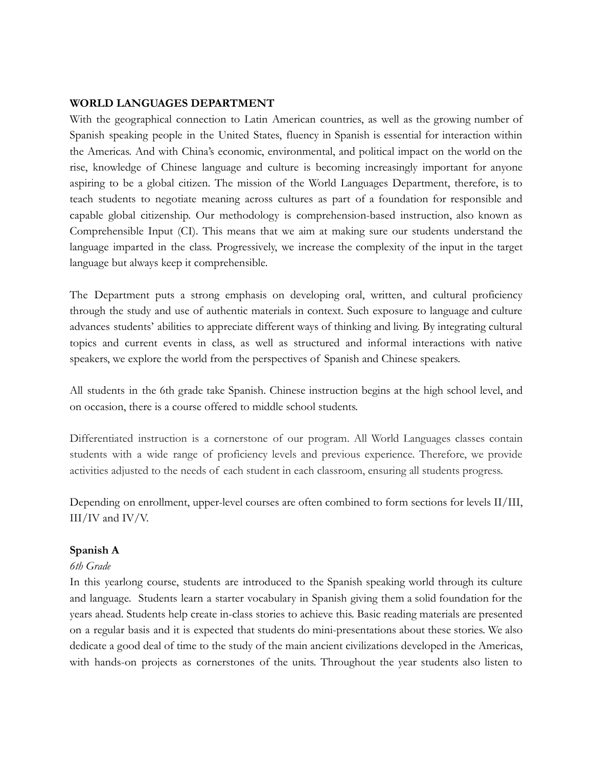# <span id="page-28-0"></span>**WORLD LANGUAGES DEPARTMENT**

With the geographical connection to Latin American countries, as well as the growing number of Spanish speaking people in the United States, fluency in Spanish is essential for interaction within the Americas. And with China's economic, environmental, and political impact on the world on the rise, knowledge of Chinese language and culture is becoming increasingly important for anyone aspiring to be a global citizen. The mission of the World Languages Department, therefore, is to teach students to negotiate meaning across cultures as part of a foundation for responsible and capable global citizenship. Our methodology is comprehension-based instruction, also known as Comprehensible Input (CI). This means that we aim at making sure our students understand the language imparted in the class. Progressively, we increase the complexity of the input in the target language but always keep it comprehensible.

The Department puts a strong emphasis on developing oral, written, and cultural proficiency through the study and use of authentic materials in context. Such exposure to language and culture advances students' abilities to appreciate different ways of thinking and living. By integrating cultural topics and current events in class, as well as structured and informal interactions with native speakers, we explore the world from the perspectives of Spanish and Chinese speakers.

All students in the 6th grade take Spanish. Chinese instruction begins at the high school level, and on occasion, there is a course offered to middle school students.

Differentiated instruction is a cornerstone of our program. All World Languages classes contain students with a wide range of proficiency levels and previous experience. Therefore, we provide activities adjusted to the needs of each student in each classroom, ensuring all students progress.

Depending on enrollment, upper-level courses are often combined to form sections for levels II/III, III/IV and IV/V.

# **Spanish A**

# *6th Grade*

In this yearlong course, students are introduced to the Spanish speaking world through its culture and language. Students learn a starter vocabulary in Spanish giving them a solid foundation for the years ahead. Students help create in-class stories to achieve this. Basic reading materials are presented on a regular basis and it is expected that students do mini-presentations about these stories. We also dedicate a good deal of time to the study of the main ancient civilizations developed in the Americas, with hands-on projects as cornerstones of the units. Throughout the year students also listen to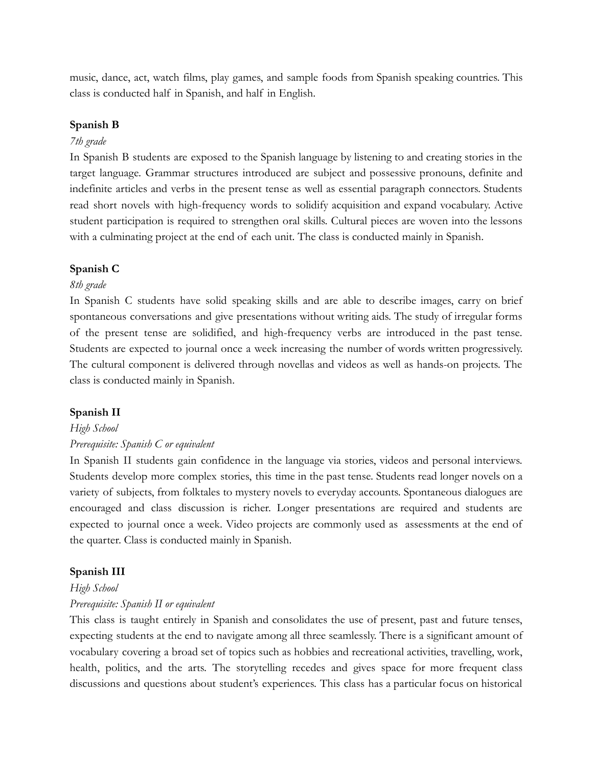music, dance, act, watch films, play games, and sample foods from Spanish speaking countries. This class is conducted half in Spanish, and half in English.

# **Spanish B**

## *7th grade*

In Spanish B students are exposed to the Spanish language by listening to and creating stories in the target language. Grammar structures introduced are subject and possessive pronouns, definite and indefinite articles and verbs in the present tense as well as essential paragraph connectors. Students read short novels with high-frequency words to solidify acquisition and expand vocabulary. Active student participation is required to strengthen oral skills. Cultural pieces are woven into the lessons with a culminating project at the end of each unit. The class is conducted mainly in Spanish.

# **Spanish C**

### *8th grade*

In Spanish C students have solid speaking skills and are able to describe images, carry on brief spontaneous conversations and give presentations without writing aids. The study of irregular forms of the present tense are solidified, and high-frequency verbs are introduced in the past tense. Students are expected to journal once a week increasing the number of words written progressively. The cultural component is delivered through novellas and videos as well as hands-on projects. The class is conducted mainly in Spanish.

#### **Spanish II**

#### *High School*

#### *Prerequisite: Spanish C or equivalent*

In Spanish II students gain confidence in the language via stories, videos and personal interviews. Students develop more complex stories, this time in the past tense. Students read longer novels on a variety of subjects, from folktales to mystery novels to everyday accounts. Spontaneous dialogues are encouraged and class discussion is richer. Longer presentations are required and students are expected to journal once a week. Video projects are commonly used as assessments at the end of the quarter. Class is conducted mainly in Spanish.

#### **Spanish III**

#### *High School*

#### *Prerequisite: Spanish II or equivalent*

This class is taught entirely in Spanish and consolidates the use of present, past and future tenses, expecting students at the end to navigate among all three seamlessly. There is a significant amount of vocabulary covering a broad set of topics such as hobbies and recreational activities, travelling, work, health, politics, and the arts. The storytelling recedes and gives space for more frequent class discussions and questions about student's experiences. This class has a particular focus on historical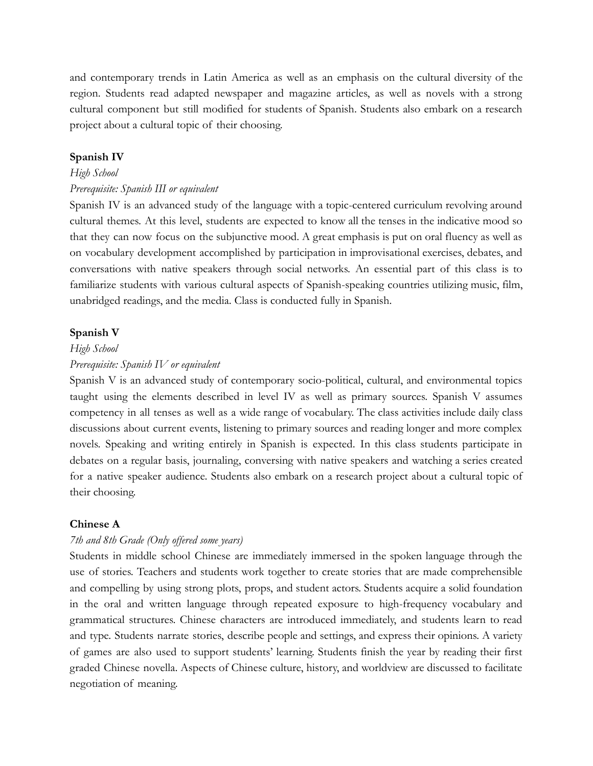and contemporary trends in Latin America as well as an emphasis on the cultural diversity of the region. Students read adapted newspaper and magazine articles, as well as novels with a strong cultural component but still modified for students of Spanish. Students also embark on a research project about a cultural topic of their choosing.

#### **Spanish IV**

#### *High School*

#### *Prerequisite: Spanish III or equivalent*

Spanish IV is an advanced study of the language with a topic-centered curriculum revolving around cultural themes. At this level, students are expected to know all the tenses in the indicative mood so that they can now focus on the subjunctive mood. A great emphasis is put on oral fluency as well as on vocabulary development accomplished by participation in improvisational exercises, debates, and conversations with native speakers through social networks. An essential part of this class is to familiarize students with various cultural aspects of Spanish-speaking countries utilizing music, film, unabridged readings, and the media. Class is conducted fully in Spanish.

#### **Spanish V**

#### *High School*

#### *Prerequisite: Spanish IV or equivalent*

Spanish V is an advanced study of contemporary socio-political, cultural, and environmental topics taught using the elements described in level IV as well as primary sources. Spanish V assumes competency in all tenses as well as a wide range of vocabulary. The class activities include daily class discussions about current events, listening to primary sources and reading longer and more complex novels. Speaking and writing entirely in Spanish is expected. In this class students participate in debates on a regular basis, journaling, conversing with native speakers and watching a series created for a native speaker audience. Students also embark on a research project about a cultural topic of their choosing.

#### **Chinese A**

## *7th and 8th Grade (Only offered some years)*

Students in middle school Chinese are immediately immersed in the spoken language through the use of stories. Teachers and students work together to create stories that are made comprehensible and compelling by using strong plots, props, and student actors. Students acquire a solid foundation in the oral and written language through repeated exposure to high-frequency vocabulary and grammatical structures. Chinese characters are introduced immediately, and students learn to read and type. Students narrate stories, describe people and settings, and express their opinions. A variety of games are also used to support students' learning. Students finish the year by reading their first graded Chinese novella. Aspects of Chinese culture, history, and worldview are discussed to facilitate negotiation of meaning.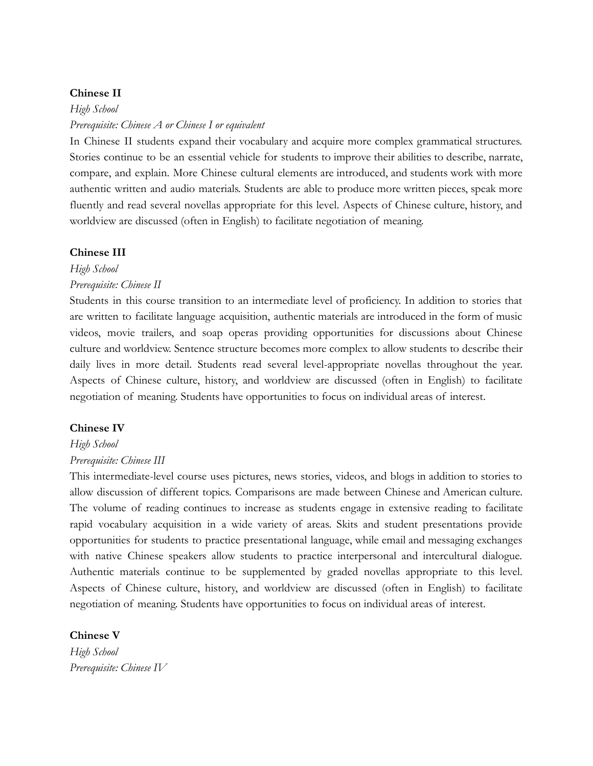# **Chinese II**

*High School Prerequisite: Chinese A or Chinese I or equivalent*

In Chinese II students expand their vocabulary and acquire more complex grammatical structures. Stories continue to be an essential vehicle for students to improve their abilities to describe, narrate, compare, and explain. More Chinese cultural elements are introduced, and students work with more authentic written and audio materials. Students are able to produce more written pieces, speak more fluently and read several novellas appropriate for this level. Aspects of Chinese culture, history, and worldview are discussed (often in English) to facilitate negotiation of meaning.

### **Chinese III**

*High School*

*Prerequisite: Chinese II*

Students in this course transition to an intermediate level of proficiency. In addition to stories that are written to facilitate language acquisition, authentic materials are introduced in the form of music videos, movie trailers, and soap operas providing opportunities for discussions about Chinese culture and worldview. Sentence structure becomes more complex to allow students to describe their daily lives in more detail. Students read several level-appropriate novellas throughout the year. Aspects of Chinese culture, history, and worldview are discussed (often in English) to facilitate negotiation of meaning. Students have opportunities to focus on individual areas of interest.

# **Chinese IV**

## *High School*

# *Prerequisite: Chinese III*

This intermediate-level course uses pictures, news stories, videos, and blogs in addition to stories to allow discussion of different topics. Comparisons are made between Chinese and American culture. The volume of reading continues to increase as students engage in extensive reading to facilitate rapid vocabulary acquisition in a wide variety of areas. Skits and student presentations provide opportunities for students to practice presentational language, while email and messaging exchanges with native Chinese speakers allow students to practice interpersonal and intercultural dialogue. Authentic materials continue to be supplemented by graded novellas appropriate to this level. Aspects of Chinese culture, history, and worldview are discussed (often in English) to facilitate negotiation of meaning. Students have opportunities to focus on individual areas of interest.

**Chinese V** *High School Prerequisite: Chinese IV*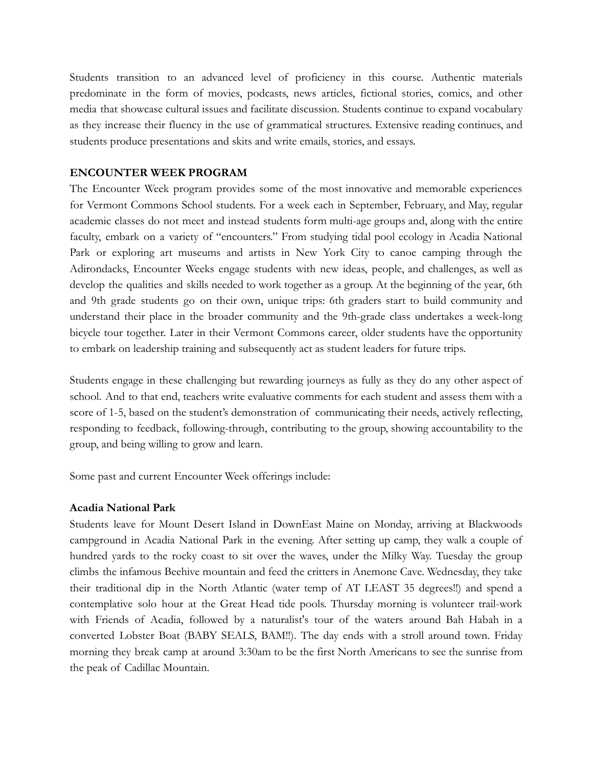Students transition to an advanced level of proficiency in this course. Authentic materials predominate in the form of movies, podcasts, news articles, fictional stories, comics, and other media that showcase cultural issues and facilitate discussion. Students continue to expand vocabulary as they increase their fluency in the use of grammatical structures. Extensive reading continues, and students produce presentations and skits and write emails, stories, and essays.

# <span id="page-32-0"></span>**ENCOUNTER WEEK PROGRAM**

The Encounter Week program provides some of the most innovative and memorable experiences for Vermont Commons School students. For a week each in September, February, and May, regular academic classes do not meet and instead students form multi-age groups and, along with the entire faculty, embark on a variety of "encounters." From studying tidal pool ecology in Acadia National Park or exploring art museums and artists in New York City to canoe camping through the Adirondacks, Encounter Weeks engage students with new ideas, people, and challenges, as well as develop the qualities and skills needed to work together as a group. At the beginning of the year, 6th and 9th grade students go on their own, unique trips: 6th graders start to build community and understand their place in the broader community and the 9th-grade class undertakes a week-long bicycle tour together. Later in their Vermont Commons career, older students have the opportunity to embark on leadership training and subsequently act as student leaders for future trips.

Students engage in these challenging but rewarding journeys as fully as they do any other aspect of school. And to that end, teachers write evaluative comments for each student and assess them with a score of 1-5, based on the student's demonstration of communicating their needs, actively reflecting, responding to feedback, following-through, contributing to the group, showing accountability to the group, and being willing to grow and learn.

Some past and current Encounter Week offerings include:

# **Acadia National Park**

Students leave for Mount Desert Island in DownEast Maine on Monday, arriving at Blackwoods campground in Acadia National Park in the evening. After setting up camp, they walk a couple of hundred yards to the rocky coast to sit over the waves, under the Milky Way. Tuesday the group climbs the infamous Beehive mountain and feed the critters in Anemone Cave. Wednesday, they take their traditional dip in the North Atlantic (water temp of AT LEAST 35 degrees!!) and spend a contemplative solo hour at the Great Head tide pools. Thursday morning is volunteer trail-work with Friends of Acadia, followed by a naturalist's tour of the waters around Bah Habah in a converted Lobster Boat (BABY SEALS, BAM!!). The day ends with a stroll around town. Friday morning they break camp at around 3:30am to be the first North Americans to see the sunrise from the peak of Cadillac Mountain.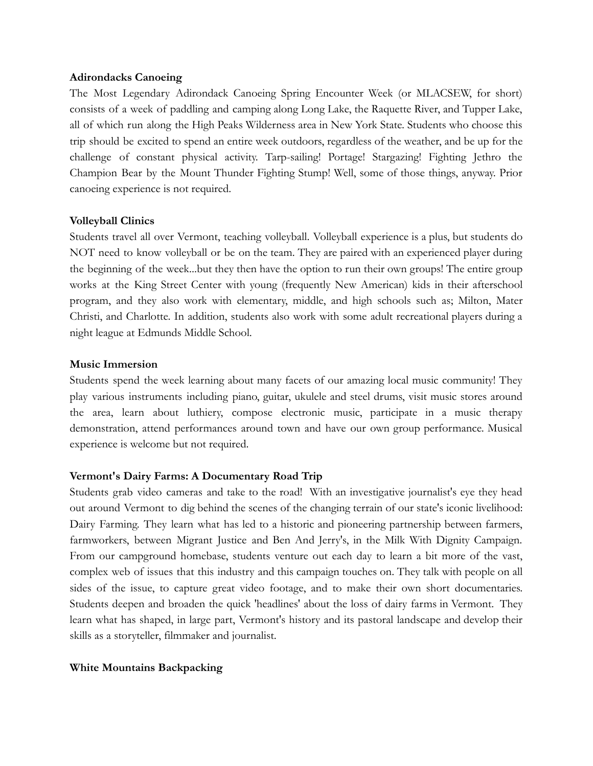# **Adirondacks Canoeing**

The Most Legendary Adirondack Canoeing Spring Encounter Week (or MLACSEW, for short) consists of a week of paddling and camping along Long Lake, the Raquette River, and Tupper Lake, all of which run along the High Peaks Wilderness area in New York State. Students who choose this trip should be excited to spend an entire week outdoors, regardless of the weather, and be up for the challenge of constant physical activity. Tarp-sailing! Portage! Stargazing! Fighting Jethro the Champion Bear by the Mount Thunder Fighting Stump! Well, some of those things, anyway. Prior canoeing experience is not required.

# **Volleyball Clinics**

Students travel all over Vermont, teaching volleyball. Volleyball experience is a plus, but students do NOT need to know volleyball or be on the team. They are paired with an experienced player during the beginning of the week...but they then have the option to run their own groups! The entire group works at the King Street Center with young (frequently New American) kids in their afterschool program, and they also work with elementary, middle, and high schools such as; Milton, Mater Christi, and Charlotte. In addition, students also work with some adult recreational players during a night league at Edmunds Middle School.

# **Music Immersion**

Students spend the week learning about many facets of our amazing local music community! They play various instruments including piano, guitar, ukulele and steel drums, visit music stores around the area, learn about luthiery, compose electronic music, participate in a music therapy demonstration, attend performances around town and have our own group performance. Musical experience is welcome but not required.

# **Vermont's Dairy Farms: A Documentary Road Trip**

Students grab video cameras and take to the road! With an investigative journalist's eye they head out around Vermont to dig behind the scenes of the changing terrain of our state's iconic livelihood: Dairy Farming. They learn what has led to a historic and pioneering partnership between farmers, farmworkers, between Migrant Justice and Ben And Jerry's, in the Milk With Dignity Campaign. From our campground homebase, students venture out each day to learn a bit more of the vast, complex web of issues that this industry and this campaign touches on. They talk with people on all sides of the issue, to capture great video footage, and to make their own short documentaries. Students deepen and broaden the quick 'headlines' about the loss of dairy farms in Vermont. They learn what has shaped, in large part, Vermont's history and its pastoral landscape and develop their skills as a storyteller, filmmaker and journalist.

# **White Mountains Backpacking**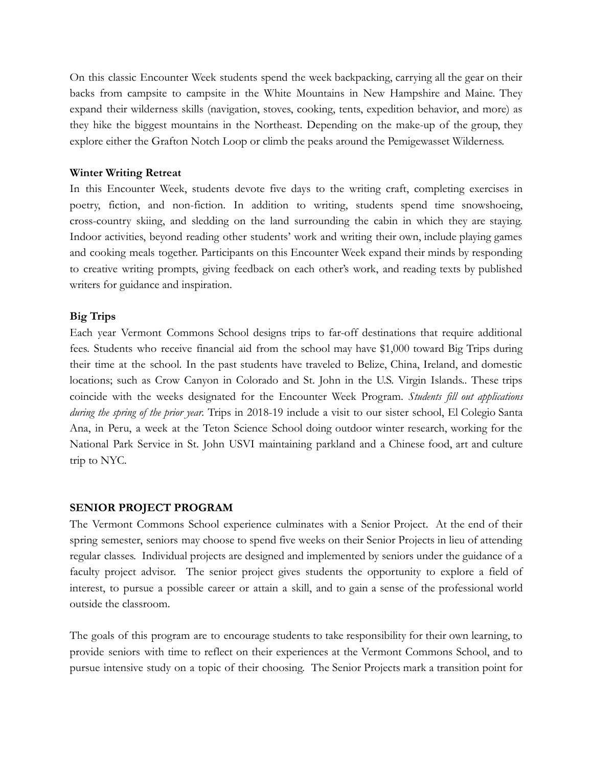On this classic Encounter Week students spend the week backpacking, carrying all the gear on their backs from campsite to campsite in the White Mountains in New Hampshire and Maine. They expand their wilderness skills (navigation, stoves, cooking, tents, expedition behavior, and more) as they hike the biggest mountains in the Northeast. Depending on the make-up of the group, they explore either the Grafton Notch Loop or climb the peaks around the Pemigewasset Wilderness.

# **Winter Writing Retreat**

In this Encounter Week, students devote five days to the writing craft, completing exercises in poetry, fiction, and non-fiction. In addition to writing, students spend time snowshoeing, cross-country skiing, and sledding on the land surrounding the cabin in which they are staying. Indoor activities, beyond reading other students' work and writing their own, include playing games and cooking meals together. Participants on this Encounter Week expand their minds by responding to creative writing prompts, giving feedback on each other's work, and reading texts by published writers for guidance and inspiration.

# **Big Trips**

Each year Vermont Commons School designs trips to far-off destinations that require additional fees. Students who receive financial aid from the school may have \$1,000 toward Big Trips during their time at the school. In the past students have traveled to Belize, China, Ireland, and domestic locations; such as Crow Canyon in Colorado and St. John in the U.S. Virgin Islands.. These trips coincide with the weeks designated for the Encounter Week Program. *Students fill out applications during the spring of the prior year.* Trips in 2018-19 include a visit to our sister school, El Colegio Santa Ana, in Peru, a week at the Teton Science School doing outdoor winter research, working for the National Park Service in St. John USVI maintaining parkland and a Chinese food, art and culture trip to NYC.

# <span id="page-34-0"></span>**SENIOR PROJECT PROGRAM**

The Vermont Commons School experience culminates with a Senior Project. At the end of their spring semester, seniors may choose to spend five weeks on their Senior Projects in lieu of attending regular classes. Individual projects are designed and implemented by seniors under the guidance of a faculty project advisor. The senior project gives students the opportunity to explore a field of interest, to pursue a possible career or attain a skill, and to gain a sense of the professional world outside the classroom.

The goals of this program are to encourage students to take responsibility for their own learning, to provide seniors with time to reflect on their experiences at the Vermont Commons School, and to pursue intensive study on a topic of their choosing. The Senior Projects mark a transition point for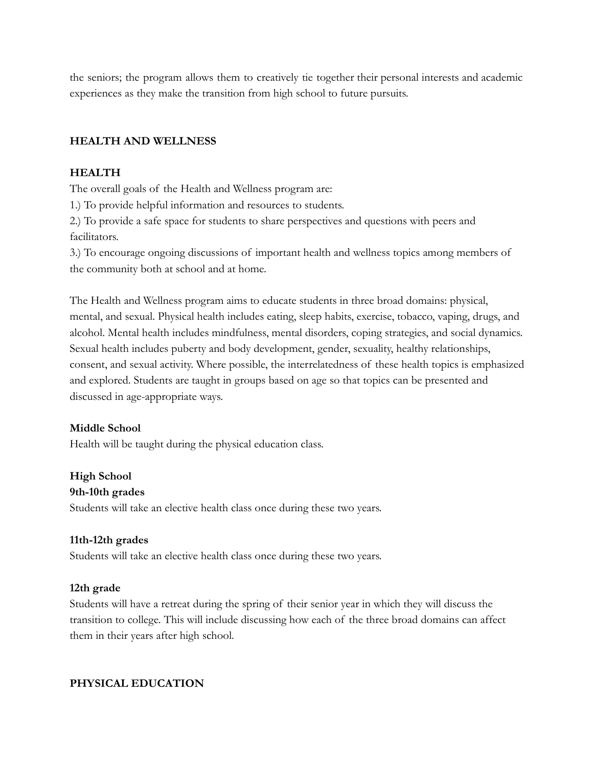the seniors; the program allows them to creatively tie together their personal interests and academic experiences as they make the transition from high school to future pursuits.

# **HEALTH AND WELLNESS**

# **HEALTH**

The overall goals of the Health and Wellness program are:

1.) To provide helpful information and resources to students.

2.) To provide a safe space for students to share perspectives and questions with peers and facilitators.

3.) To encourage ongoing discussions of important health and wellness topics among members of the community both at school and at home.

The Health and Wellness program aims to educate students in three broad domains: physical, mental, and sexual. Physical health includes eating, sleep habits, exercise, tobacco, vaping, drugs, and alcohol. Mental health includes mindfulness, mental disorders, coping strategies, and social dynamics. Sexual health includes puberty and body development, gender, sexuality, healthy relationships, consent, and sexual activity. Where possible, the interrelatedness of these health topics is emphasized and explored. Students are taught in groups based on age so that topics can be presented and discussed in age-appropriate ways.

# **Middle School**

Health will be taught during the physical education class.

# **High School**

# **9th-10th grades**

Students will take an elective health class once during these two years.

# **11th-12th grades**

Students will take an elective health class once during these two years.

# **12th grade**

Students will have a retreat during the spring of their senior year in which they will discuss the transition to college. This will include discussing how each of the three broad domains can affect them in their years after high school.

# <span id="page-35-0"></span>**PHYSICAL EDUCATION**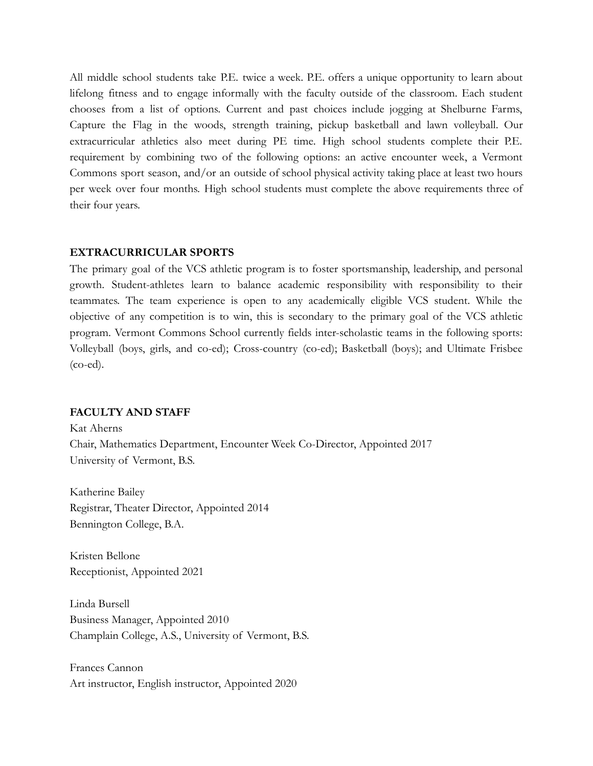All middle school students take P.E. twice a week. P.E. offers a unique opportunity to learn about lifelong fitness and to engage informally with the faculty outside of the classroom. Each student chooses from a list of options. Current and past choices include jogging at Shelburne Farms, Capture the Flag in the woods, strength training, pickup basketball and lawn volleyball. Our extracurricular athletics also meet during PE time. High school students complete their P.E. requirement by combining two of the following options: an active encounter week, a Vermont Commons sport season, and/or an outside of school physical activity taking place at least two hours per week over four months. High school students must complete the above requirements three of their four years.

# <span id="page-36-0"></span>**EXTRACURRICULAR SPORTS**

The primary goal of the VCS athletic program is to foster sportsmanship, leadership, and personal growth. Student-athletes learn to balance academic responsibility with responsibility to their teammates. The team experience is open to any academically eligible VCS student. While the objective of any competition is to win, this is secondary to the primary goal of the VCS athletic program. Vermont Commons School currently fields inter-scholastic teams in the following sports: Volleyball (boys, girls, and co-ed); Cross-country (co-ed); Basketball (boys); and Ultimate Frisbee (co-ed).

# <span id="page-36-1"></span>**FACULTY AND STAFF**

Kat Aherns Chair, Mathematics Department, Encounter Week Co-Director, Appointed 2017 University of Vermont, B.S.

Katherine Bailey Registrar, Theater Director, Appointed 2014 Bennington College, B.A.

Kristen Bellone Receptionist, Appointed 2021

Linda Bursell Business Manager, Appointed 2010 Champlain College, A.S., University of Vermont, B.S.

Frances Cannon Art instructor, English instructor, Appointed 2020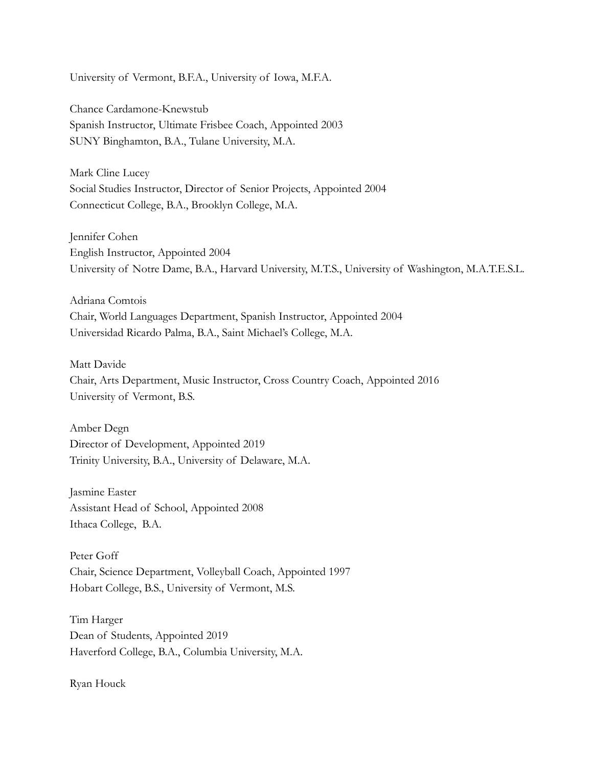University of Vermont, B.F.A., University of Iowa, M.F.A.

Chance Cardamone-Knewstub Spanish Instructor, Ultimate Frisbee Coach, Appointed 2003 SUNY Binghamton, B.A., Tulane University, M.A.

Mark Cline Lucey Social Studies Instructor, Director of Senior Projects, Appointed 2004 Connecticut College, B.A., Brooklyn College, M.A.

Jennifer Cohen English Instructor, Appointed 2004 University of Notre Dame, B.A., Harvard University, M.T.S., University of Washington, M.A.T.E.S.L.

Adriana Comtois Chair, World Languages Department, Spanish Instructor, Appointed 2004 Universidad Ricardo Palma, B.A., Saint Michael's College, M.A.

Matt Davide Chair, Arts Department, Music Instructor, Cross Country Coach, Appointed 2016 University of Vermont, B.S.

Amber Degn Director of Development, Appointed 2019 Trinity University, B.A., University of Delaware, M.A.

Jasmine Easter Assistant Head of School, Appointed 2008 Ithaca College, B.A.

Peter Goff Chair, Science Department, Volleyball Coach, Appointed 1997 Hobart College, B.S., University of Vermont, M.S.

Tim Harger Dean of Students, Appointed 2019 Haverford College, B.A., Columbia University, M.A.

Ryan Houck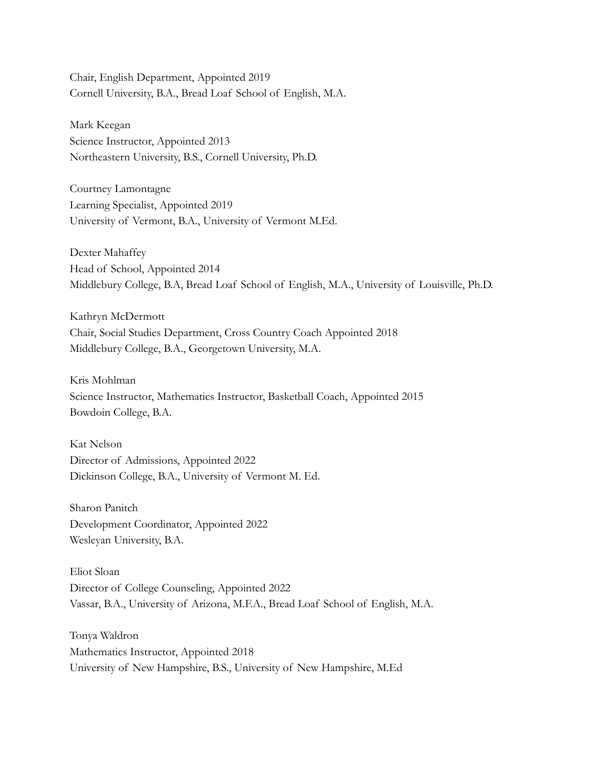Chair, English Department, Appointed 2019 Cornell University, B.A., Bread Loaf School of English, M.A.

Mark Keegan Science Instructor, Appointed 2013 Northeastern University, B.S., Cornell University, Ph.D.

Courtney Lamontagne Learning Specialist, Appointed 2019 University of Vermont, B.A., University of Vermont M.Ed.

Dexter Mahaffey Head of School, Appointed 2014 Middlebury College, B.A, Bread Loaf School of English, M.A., University of Louisville, Ph.D.

Kathryn McDermott Chair, Social Studies Department, Cross Country Coach Appointed 2018 Middlebury College, B.A., Georgetown University, M.A.

Kris Mohlman Science Instructor, Mathematics Instructor, Basketball Coach, Appointed 2015 Bowdoin College, B.A.

Kat Nelson Director of Admissions, Appointed 2022 Dickinson College, B.A., University of Vermont M. Ed.

Sharon Panitch Development Coordinator, Appointed 2022 Wesleyan University, B.A.

Eliot Sloan Director of College Counseling, Appointed 2022 Vassar, B.A., University of Arizona, M.F.A., Bread Loaf School of English, M.A.

Tonya Waldron Mathematics Instructor, Appointed 2018 University of New Hampshire, B.S., University of New Hampshire, M.Ed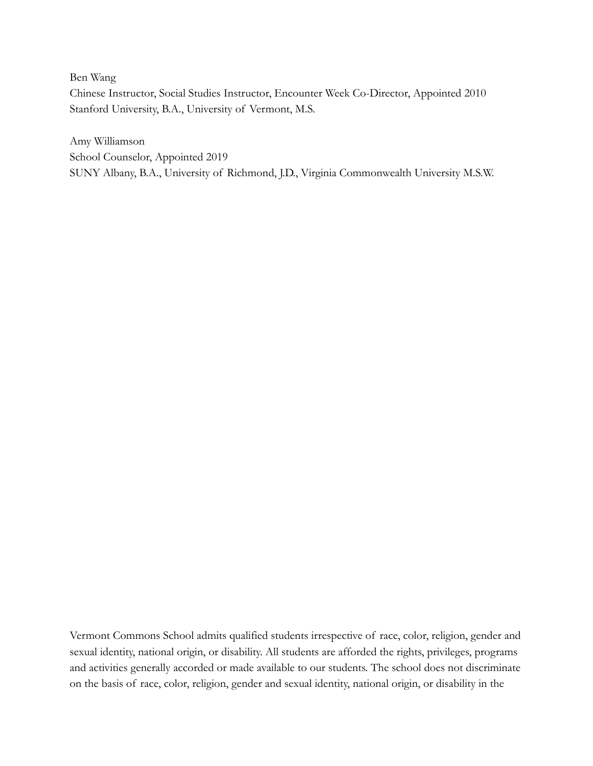Ben Wang

Chinese Instructor, Social Studies Instructor, Encounter Week Co-Director, Appointed 2010 Stanford University, B.A., University of Vermont, M.S.

Amy Williamson School Counselor, Appointed 2019 SUNY Albany, B.A., University of Richmond, J.D., Virginia Commonwealth University M.S.W.

Vermont Commons School admits qualified students irrespective of race, color, religion, gender and sexual identity, national origin, or disability. All students are afforded the rights, privileges, programs and activities generally accorded or made available to our students. The school does not discriminate on the basis of race, color, religion, gender and sexual identity, national origin, or disability in the